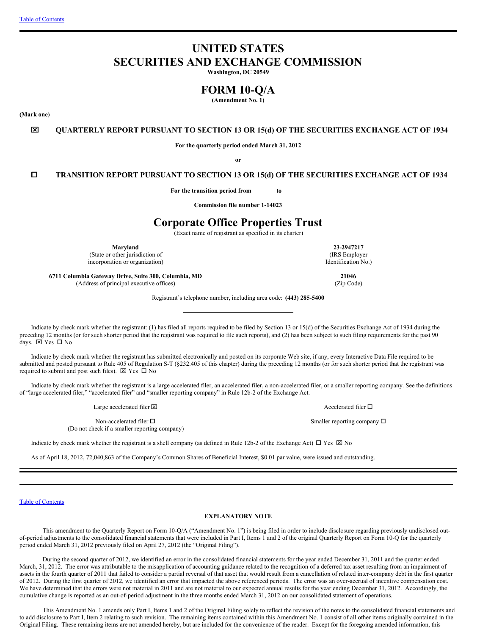# **UNITED STATES SECURITIES AND EXCHANGE COMMISSION**

**Washington, DC 20549**

# **FORM 10-Q/A**

**(Amendment No. 1)**

**(Mark one)**

# x **QUARTERLY REPORT PURSUANT TO SECTION 13 OR 15(d) OF THE SECURITIES EXCHANGE ACT OF 1934**

**For the quarterly period ended March 31, 2012**

**or**

# o **TRANSITION REPORT PURSUANT TO SECTION 13 OR 15(d) OF THE SECURITIES EXCHANGE ACT OF 1934**

**For the transition period from to**

**Commission file number 1-14023**

# **Corporate Office Properties Trust**

(Exact name of registrant as specified in its charter)

**Maryland 23-2947217**

(State or other jurisdiction of (IRS Employer incorporation or organization) Identification No.

**6711 Columbia Gateway Drive, Suite 300, Columbia, MD 21046** (Address of principal executive offices) (Zip Code)

Registrant's telephone number, including area code: **(443) 285-5400**

Indicate by check mark whether the registrant: (1) has filed all reports required to be filed by Section 13 or 15(d) of the Securities Exchange Act of 1934 during the preceding 12 months (or for such shorter period that the registrant was required to file such reports), and (2) has been subject to such filing requirements for the past 90 days.  $\boxtimes$  Yes  $\Box$  No

Indicate by check mark whether the registrant has submitted electronically and posted on its corporate Web site, if any, every Interactive Data File required to be submitted and posted pursuant to Rule 405 of Regulation S-T (§232.405 of this chapter) during the preceding 12 months (or for such shorter period that the registrant was required to submit and post such files).  $\boxtimes$  Yes  $\Box$  No

Indicate by check mark whether the registrant is a large accelerated filer, an accelerated filer, a non-accelerated filer, or a smaller reporting company. See the definitions of "large accelerated filer," "accelerated filer" and "smaller reporting company" in Rule 12b-2 of the Exchange Act.

Large accelerated filer  $\boxtimes$ 

Non-accelerated filer  $\Box$ (Do not check if a smaller reporting company)

Indicate by check mark whether the registrant is a shell company (as defined in Rule 12b-2 of the Exchange Act)  $\Box$  Yes  $\boxtimes$  No

As of April 18, 2012, 72,040,863 of the Company's Common Shares of Beneficial Interest, \$0.01 par value, were issued and outstanding.

# Table of [Contents](#page-1-0)

# **EXPLANATORY NOTE**

This amendment to the Quarterly Report on Form 10-Q/A ("Amendment No. 1") is being filed in order to include disclosure regarding previously undisclosed outof-period adjustments to the consolidated financial statements that were included in Part I, Items 1 and 2 of the original Quarterly Report on Form 10-Q for the quarterly period ended March 31, 2012 previously filed on April 27, 2012 (the "Original Filing").

During the second quarter of 2012, we identified an error in the consolidated financial statements for the year ended December 31, 2011 and the quarter ended March, 31, 2012. The error was attributable to the misapplication of accounting guidance related to the recognition of a deferred tax asset resulting from an impairment of assets in the fourth quarter of 2011 that failed to consider a partial reversal of that asset that would result from a cancellation of related inter-company debt in the first quarter of 2012. During the first quarter of 2012, we identified an error that impacted the above referenced periods. The error was an over-accrual of incentive compensation cost. We have determined that the errors were not material in 2011 and are not material to our expected annual results for the year ending December 31, 2012. Accordingly, the cumulative change is reported as an out-of-period adjustment in the three months ended March 31, 2012 on our consolidated statement of operations.

This Amendment No. 1 amends only Part I, Items 1 and 2 of the Original Filing solely to reflect the revision of the notes to the consolidated financial statements and to add disclosure to Part I, Item 2 relating to such revision. The remaining items contained within this Amendment No. 1 consist of all other items originally contained in the Original Filing. These remaining items are not amended hereby, but are included for the convenience of the reader. Except for the foregoing amended information, this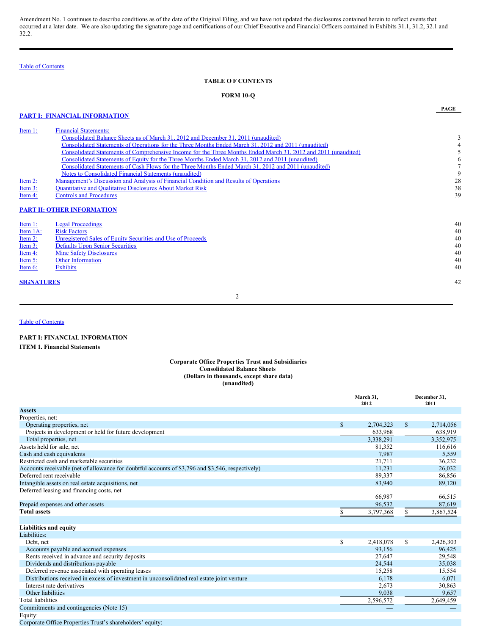Amendment No. 1 continues to describe conditions as of the date of the Original Filing, and we have not updated the disclosures contained herein to reflect events that occurred at a later date. We are also updating the signature page and certifications of our Chief Executive and Financial Officers contained in Exhibits 31.1, 31.2, 32.1 and 32.2.

# Table of [Contents](#page-1-0)

# **TABLE O F CONTENTS**

# <span id="page-1-0"></span>**FORM 10-Q**

**PAGE**

# **PART I: FINANCIAL [INFORMATION](#page-1-1)**

| Item 1:           | <b>Financial Statements:</b>                                                                                   |    |
|-------------------|----------------------------------------------------------------------------------------------------------------|----|
|                   | Consolidated Balance Sheets as of March 31, 2012 and December 31, 2011 (unaudited)                             | 3  |
|                   | Consolidated Statements of Operations for the Three Months Ended March 31, 2012 and 2011 (unaudited)           |    |
|                   | Consolidated Statements of Comprehensive Income for the Three Months Ended March 31, 2012 and 2011 (unaudited) |    |
|                   | Consolidated Statements of Equity for the Three Months Ended March 31, 2012 and 2011 (unaudited)               | 6  |
|                   | Consolidated Statements of Cash Flows for the Three Months Ended March 31, 2012 and 2011 (unaudited)           |    |
|                   | Notes to Consolidated Financial Statements (unaudited)                                                         | 9  |
| Item $2$ :        | Management's Discussion and Analysis of Financial Condition and Results of Operations                          | 28 |
| Item $3$ :        | <b>Quantitative and Qualitative Disclosures About Market Risk</b>                                              | 38 |
| Item 4:           | <b>Controls and Procedures</b>                                                                                 | 39 |
|                   | <b>PART II: OTHER INFORMATION</b>                                                                              |    |
| Item $1$ :        | <b>Legal Proceedings</b>                                                                                       | 40 |
| Item $1A$ :       | <b>Risk Factors</b>                                                                                            | 40 |
| Item $2$ :        | Unregistered Sales of Equity Securities and Use of Proceeds                                                    | 40 |
| Item $3:$         | <b>Defaults Upon Senior Securities</b>                                                                         | 40 |
| Item $4$ :        | <b>Mine Safety Disclosures</b>                                                                                 | 40 |
| Item 5:           | <b>Other Information</b>                                                                                       | 40 |
| Item $6$ :        | <b>Exhibits</b>                                                                                                | 40 |
| <b>SIGNATURES</b> |                                                                                                                | 42 |
|                   | $\bigcap$                                                                                                      |    |

<span id="page-1-3"></span>2

Table of [Contents](#page-1-0)

# **PART I: FINANCIAL INFORMATION**

**ITEM 1. Financial Statements**

# <span id="page-1-2"></span><span id="page-1-1"></span>**Corporate Office Properties Trust and Subsidiaries Consolidated Balance Sheets (Dollars in thousands, except share data) (unaudited)**

|                                                                                                   |             | March 31,<br>2012 |               | December 31,<br>2011 |
|---------------------------------------------------------------------------------------------------|-------------|-------------------|---------------|----------------------|
| <b>Assets</b>                                                                                     |             |                   |               |                      |
| Properties, net:                                                                                  |             |                   |               |                      |
| Operating properties, net                                                                         | $\mathbf S$ | 2,704,323         | \$            | 2,714,056            |
| Projects in development or held for future development                                            |             | 633.968           |               | 638,919              |
| Total properties, net                                                                             |             | 3,338,291         |               | 3,352,975            |
| Assets held for sale, net                                                                         |             | 81,352            |               | 116,616              |
| Cash and cash equivalents                                                                         |             | 7,987             |               | 5,559                |
| Restricted cash and marketable securities                                                         |             | 21,711            |               | 36,232               |
| Accounts receivable (net of allowance for doubtful accounts of \$3,796 and \$3,546, respectively) |             | 11,231            |               | 26,032               |
| Deferred rent receivable                                                                          |             | 89,337            |               | 86,856               |
| Intangible assets on real estate acquisitions, net                                                |             | 83,940            |               | 89,120               |
| Deferred leasing and financing costs, net                                                         |             |                   |               |                      |
|                                                                                                   |             | 66,987            |               | 66,515               |
| Prepaid expenses and other assets                                                                 |             | 96,532            |               | 87,619               |
| <b>Total assets</b>                                                                               | S           | 3,797,368         | S.            | 3,867,524            |
|                                                                                                   |             |                   |               |                      |
| Liabilities and equity                                                                            |             |                   |               |                      |
| Liabilities:                                                                                      |             |                   |               |                      |
| Debt, net                                                                                         | \$          | 2,418,078         | <sup>\$</sup> | 2,426,303            |
| Accounts payable and accrued expenses                                                             |             | 93,156            |               | 96,425               |
| Rents received in advance and security deposits                                                   |             | 27,647            |               | 29,548               |
| Dividends and distributions payable                                                               |             | 24,544            |               | 35,038               |
| Deferred revenue associated with operating leases                                                 |             | 15,258            |               | 15,554               |
| Distributions received in excess of investment in unconsolidated real estate joint venture        |             | 6,178             |               | 6,071                |
| Interest rate derivatives                                                                         |             | 2,673             |               | 30,863               |
| Other liabilities                                                                                 |             | 9,038             |               | 9,657                |
| <b>Total liabilities</b>                                                                          |             | 2,596,572         |               | 2,649,459            |
| Commitments and contingencies (Note 15)                                                           |             |                   |               |                      |
| Equity:                                                                                           |             |                   |               |                      |
| Comerste Office Dreparties Trust's shareholders' county.                                          |             |                   |               |                      |

Corporate Office Properties Trust's shareholders' equity: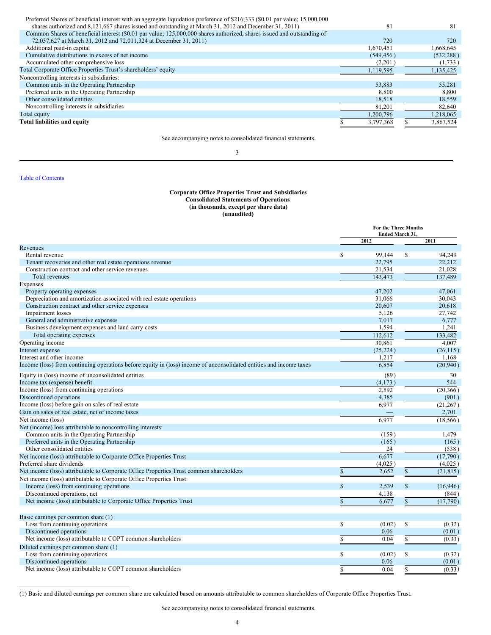| Preferred Shares of beneficial interest with an aggregate liquidation preference of \$216,333 (\$0.01 par value; 15,000,000 |            |            |
|-----------------------------------------------------------------------------------------------------------------------------|------------|------------|
| shares authorized and 8,121,667 shares issued and outstanding at March 31, 2012 and December 31, 2011)                      | 81         | 81         |
| Common Shares of beneficial interest (\$0.01 par value; 125,000,000 shares authorized, shares issued and outstanding of     |            |            |
| 72,037,627 at March 31, 2012 and 72,011,324 at December 31, 2011)                                                           | 720        | 720        |
| Additional paid-in capital                                                                                                  | 1,670,451  | 1,668,645  |
| Cumulative distributions in excess of net income                                                                            | (549, 456) | (532, 288) |
| Accumulated other comprehensive loss                                                                                        | (2,201)    | (1,733)    |
| Total Corporate Office Properties Trust's shareholders' equity                                                              | 1,119,595  | 1,135,425  |
| Noncontrolling interests in subsidiaries:                                                                                   |            |            |
| Common units in the Operating Partnership                                                                                   | 53,883     | 55,281     |
| Preferred units in the Operating Partnership                                                                                | 8.800      | 8,800      |
| Other consolidated entities                                                                                                 | 18,518     | 18,559     |
| Noncontrolling interests in subsidiaries                                                                                    | 81,201     | 82,640     |
| Total equity                                                                                                                | 1.200.796  | 1,218,065  |
| <b>Total liabilities and equity</b>                                                                                         | 3,797,368  | 3,867,524  |

See accompanying notes to consolidated financial statements.

<span id="page-2-0"></span>3

# Table of [Contents](#page-1-0)

# **Corporate Office Properties Trust and Subsidiaries Consolidated Statements of Operations (in thousands, except per share data) (unaudited)**

|                                                                                                                     |               | <b>Ended March 31.</b> | <b>For the Three Months</b> |           |  |
|---------------------------------------------------------------------------------------------------------------------|---------------|------------------------|-----------------------------|-----------|--|
|                                                                                                                     |               | 2012                   |                             | 2011      |  |
| Revenues                                                                                                            |               |                        |                             |           |  |
| Rental revenue                                                                                                      | $\mathbb{S}$  | 99,144                 | \$                          | 94,249    |  |
| Tenant recoveries and other real estate operations revenue                                                          |               | 22,795                 |                             | 22,212    |  |
| Construction contract and other service revenues                                                                    |               | 21,534                 |                             | 21,028    |  |
| <b>Total revenues</b>                                                                                               |               | 143,473                |                             | 137,489   |  |
| Expenses                                                                                                            |               |                        |                             |           |  |
| Property operating expenses                                                                                         |               | 47,202                 |                             | 47,061    |  |
| Depreciation and amortization associated with real estate operations                                                |               | 31.066                 |                             | 30.043    |  |
| Construction contract and other service expenses                                                                    |               | 20.607                 |                             | 20,618    |  |
| Impairment losses                                                                                                   |               | 5.126                  |                             | 27,742    |  |
| General and administrative expenses                                                                                 |               | 7,017                  |                             | 6,777     |  |
| Business development expenses and land carry costs                                                                  |               | 1,594                  |                             | 1,241     |  |
| Total operating expenses                                                                                            |               | 112,612                |                             | 133,482   |  |
| Operating income                                                                                                    |               | 30,861                 |                             | 4,007     |  |
| Interest expense                                                                                                    |               | (25, 224)              |                             | (26, 115) |  |
| Interest and other income                                                                                           |               | 1,217                  |                             | 1,168     |  |
| Income (loss) from continuing operations before equity in (loss) income of unconsolidated entities and income taxes |               | 6,854                  |                             | (20, 940) |  |
| Equity in (loss) income of unconsolidated entities                                                                  |               | (89)                   |                             | 30        |  |
| Income tax (expense) benefit                                                                                        |               | (4,173)                |                             | 544       |  |
| Income (loss) from continuing operations                                                                            |               | 2,592                  |                             | (20, 366) |  |
| Discontinued operations                                                                                             |               | 4,385                  |                             | (901)     |  |
| Income (loss) before gain on sales of real estate                                                                   |               | 6,977                  |                             | (21, 267) |  |
| Gain on sales of real estate, net of income taxes                                                                   |               |                        |                             | 2,701     |  |
| Net income (loss)                                                                                                   |               | 6,977                  |                             | (18, 566) |  |
| Net (income) loss attributable to noncontrolling interests:                                                         |               |                        |                             |           |  |
| Common units in the Operating Partnership                                                                           |               | (159)                  |                             | 1,479     |  |
| Preferred units in the Operating Partnership                                                                        |               | (165)                  |                             | (165)     |  |
| Other consolidated entities                                                                                         |               | 24                     |                             | (538)     |  |
| Net income (loss) attributable to Corporate Office Properties Trust                                                 |               | 6,677                  |                             | (17,790)  |  |
| Preferred share dividends                                                                                           |               | (4,025)                |                             | (4,025)   |  |
| Net income (loss) attributable to Corporate Office Properties Trust common shareholders                             | $\mathcal{S}$ | 2,652                  | $\frac{1}{2}$               | (21, 815) |  |
| Net income (loss) attributable to Corporate Office Properties Trust:                                                |               |                        |                             |           |  |
| Income (loss) from continuing operations                                                                            | $\mathbb{S}$  | 2,539                  | \$                          | (16,946)  |  |
| Discontinued operations, net                                                                                        |               | 4,138                  |                             | (844)     |  |
| Net income (loss) attributable to Corporate Office Properties Trust                                                 | $\mathbb{S}$  | 6,677                  | \$                          | (17,790)  |  |
|                                                                                                                     |               |                        |                             |           |  |
| Basic earnings per common share (1)                                                                                 |               |                        |                             |           |  |
| Loss from continuing operations                                                                                     | $\mathbb{S}$  | (0.02)                 | $\mathcal{S}$               | (0.32)    |  |
| Discontinued operations                                                                                             |               | 0.06                   |                             | (0.01)    |  |
| Net income (loss) attributable to COPT common shareholders                                                          | \$            | 0.04                   | \$                          | (0.33)    |  |
| Diluted earnings per common share (1)                                                                               |               |                        |                             |           |  |
| Loss from continuing operations                                                                                     | \$            | (0.02)                 | \$                          | (0.32)    |  |
| Discontinued operations                                                                                             |               | 0.06                   |                             | (0.01)    |  |
| Net income (loss) attributable to COPT common shareholders                                                          | $\mathbb{S}$  | 0.04                   | \$                          | (0.33)    |  |

<sup>(1)</sup> Basic and diluted earnings per common share are calculated based on amounts attributable to common shareholders of Corporate Office Properties Trust.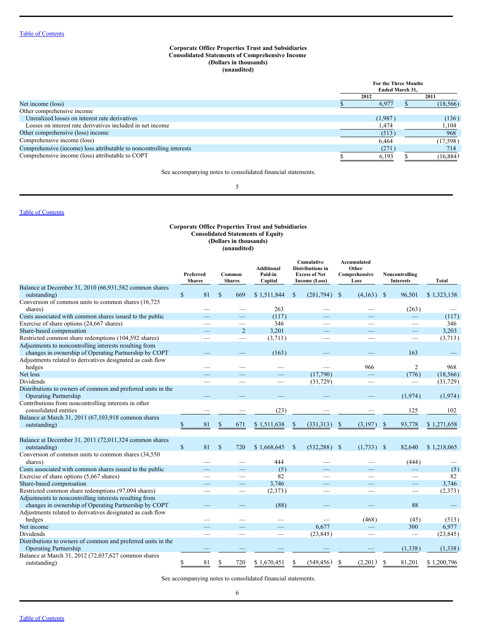# <span id="page-3-0"></span>**Corporate Office Properties Trust and Subsidiaries Consolidated Statements of Comprehensive Income (Dollars in thousands) (unaudited)**

|                                                                      | <b>For the Three Months</b><br>Ended March 31, |  |           |  |
|----------------------------------------------------------------------|------------------------------------------------|--|-----------|--|
|                                                                      | 2012                                           |  | 2011      |  |
| Net income (loss)                                                    | 6,977                                          |  | (18, 566) |  |
| Other comprehensive income                                           |                                                |  |           |  |
| Unrealized losses on interest rate derivatives                       | (1,987)                                        |  | (136)     |  |
| Losses on interest rate derivatives included in net income           | 1,474                                          |  | 1,104     |  |
| Other comprehensive (loss) income                                    | (513)                                          |  | 968       |  |
| Comprehensive income (loss)                                          | 6,464                                          |  | (17, 598) |  |
| Comprehensive (income) loss attributable to noncontrolling interests | (271)                                          |  | 714       |  |
| Comprehensive income (loss) attributable to COPT                     | 6.193                                          |  | (16, 884) |  |

See accompanying notes to consolidated financial statements.

<span id="page-3-1"></span>5

Table of [Contents](#page-1-0)

# **Corporate Office Properties Trust and Subsidiaries Consolidated Statements of Equity (Dollars in thousands) (unaudited)**

|                                                                                                                 |               | Preferred<br><b>Shares</b> | Additional<br>Paid-in<br>Common<br><b>Shares</b><br>Capital |     |             | Cumulative<br>Distributions in<br><b>Excess of Net</b><br>Income (Loss) |                | Accumulated<br>Other<br>Comprehensive<br>Loss | Noncontrolling<br><b>Interests</b> | <b>Total</b> |
|-----------------------------------------------------------------------------------------------------------------|---------------|----------------------------|-------------------------------------------------------------|-----|-------------|-------------------------------------------------------------------------|----------------|-----------------------------------------------|------------------------------------|--------------|
| Balance at December 31, 2010 (66,931,582 common shares                                                          |               |                            |                                                             |     |             |                                                                         |                |                                               |                                    |              |
| outstanding)                                                                                                    | $\mathcal{S}$ | 81                         | $\mathbb{S}$                                                | 669 | \$1,511,844 | $\mathsf{\$}$                                                           | $(281,794)$ \$ | $(4,163)$ \$                                  | 96,501                             | \$1,323,138  |
| Conversion of common units to common shares (16,725)<br>shares)                                                 |               |                            |                                                             |     | 263         |                                                                         |                |                                               | (263)                              |              |
| Costs associated with common shares issued to the public                                                        |               |                            |                                                             |     | (117)       |                                                                         |                |                                               | $\qquad \qquad -$                  | (117)        |
| Exercise of share options (24,667 shares)                                                                       |               |                            |                                                             |     | 346         |                                                                         |                |                                               |                                    | 346          |
| Share-based compensation                                                                                        |               |                            |                                                             | 2   | 3,201       |                                                                         |                |                                               |                                    | 3,203        |
| Restricted common share redemptions (104,592 shares)                                                            |               |                            |                                                             | -   | (3,713)     |                                                                         |                |                                               |                                    | (3,713)      |
| Adjustments to noncontrolling interests resulting from<br>changes in ownership of Operating Partnership by COPT |               |                            |                                                             |     | (163)       |                                                                         |                |                                               | 163                                |              |
| Adjustments related to derivatives designated as cash flow                                                      |               |                            |                                                             |     |             |                                                                         |                |                                               |                                    |              |
| hedges                                                                                                          |               |                            |                                                             |     | -           |                                                                         |                | 966                                           | $\overline{2}$                     | 968          |
| Net loss                                                                                                        |               |                            |                                                             |     |             |                                                                         | (17,790)       | ═                                             | (776)                              | (18, 566)    |
| Dividends                                                                                                       |               |                            |                                                             |     | -           |                                                                         | (31, 729)      | $\overline{\phantom{0}}$                      | $\overline{\phantom{a}}$           | (31, 729)    |
| Distributions to owners of common and preferred units in the<br><b>Operating Partnership</b>                    |               |                            |                                                             |     |             |                                                                         |                |                                               | (1,974)                            | (1,974)      |
| Contributions from noncontrolling interests in other<br>consolidated entities                                   |               |                            |                                                             |     | (23)        |                                                                         |                |                                               | 125                                | 102          |
| Balance at March 31, 2011 (67,103,918 common shares                                                             |               |                            |                                                             |     |             |                                                                         |                |                                               |                                    |              |
| outstanding)                                                                                                    | \$            | 81                         | S                                                           | 671 | \$1,511,638 | <sup>\$</sup>                                                           | (331,313)      | $\mathbb{S}$<br>(3,197)                       | 93,778<br>-S                       | \$1,271,658  |
|                                                                                                                 |               |                            |                                                             |     |             |                                                                         |                |                                               |                                    |              |
| Balance at December 31, 2011 (72,011,324 common shares<br>outstanding)                                          | $\mathsf{\$}$ | 81                         | $\mathbf S$                                                 | 720 | \$1,668,645 | <sup>\$</sup>                                                           | (532, 288)     | $\mathbb{S}$<br>$(1,733)$ \$                  | 82,640                             | \$1,218,065  |
| Conversion of common units to common shares (34,550)                                                            |               |                            |                                                             |     |             |                                                                         |                |                                               |                                    |              |
| shares)                                                                                                         |               |                            |                                                             |     | 444         |                                                                         |                |                                               | (444)                              |              |
| Costs associated with common shares issued to the public                                                        |               |                            |                                                             |     | (5)         |                                                                         |                |                                               |                                    | (5)          |
| Exercise of share options (5,667 shares)                                                                        |               |                            |                                                             |     | 82          |                                                                         |                |                                               | $\overline{\phantom{0}}$           | 82           |
| Share-based compensation                                                                                        |               |                            |                                                             |     | 3,746       |                                                                         |                |                                               |                                    | 3,746        |
| Restricted common share redemptions (97,094 shares)                                                             |               |                            |                                                             |     | (2,373)     |                                                                         |                | -                                             |                                    | (2,373)      |
| Adjustments to noncontrolling interests resulting from                                                          |               |                            |                                                             |     |             |                                                                         |                |                                               |                                    |              |
| changes in ownership of Operating Partnership by COPT                                                           |               |                            |                                                             |     | (88)        |                                                                         |                |                                               | 88                                 |              |
| Adjustments related to derivatives designated as cash flow                                                      |               |                            |                                                             |     |             |                                                                         |                |                                               |                                    |              |
| hedges                                                                                                          |               |                            |                                                             |     |             |                                                                         |                | (468)                                         | (45)                               | (513)        |
| Net income                                                                                                      |               |                            |                                                             |     |             |                                                                         | 6.677          |                                               | 300                                | 6,977        |
| Dividends                                                                                                       |               |                            |                                                             |     |             |                                                                         | (23, 845)      |                                               | $\overbrace{\phantom{12332}}$      | (23, 845)    |
| Distributions to owners of common and preferred units in the                                                    |               |                            |                                                             |     |             |                                                                         |                |                                               |                                    |              |
| <b>Operating Partnership</b>                                                                                    |               |                            |                                                             |     |             |                                                                         |                |                                               | (1,338)                            | (1,338)      |
| Balance at March 31, 2012 (72,037,627 common shares                                                             |               |                            |                                                             |     |             |                                                                         |                |                                               |                                    |              |
| outstanding)                                                                                                    | \$            | 81                         | S                                                           | 720 | \$1,670,451 | \$                                                                      | (549, 456)     | (2,201)<br>S                                  | 81,201                             | \$1,200,796  |

See accompanying notes to consolidated financial statements.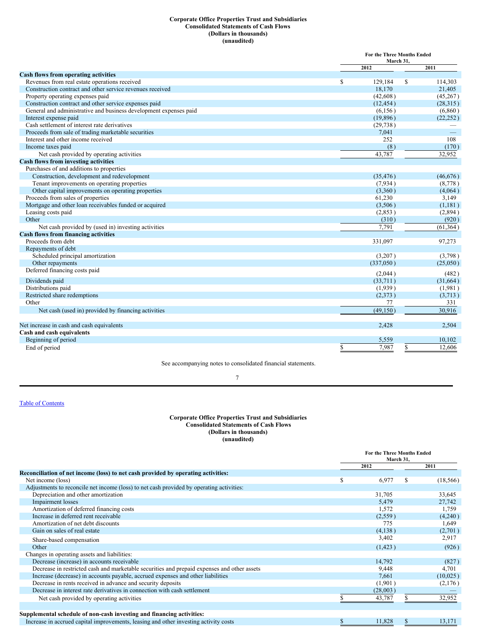### <span id="page-4-0"></span>**Corporate Office Properties Trust and Subsidiaries Consolidated Statements of Cash Flows (Dollars in thousands) (unaudited)**

|                                                                   |   | <b>For the Three Months Ended</b><br>March 31. |                   |
|-------------------------------------------------------------------|---|------------------------------------------------|-------------------|
|                                                                   |   | 2012                                           | 2011              |
| <b>Cash flows from operating activities</b>                       |   |                                                |                   |
| Revenues from real estate operations received                     | S | 129,184                                        | \$<br>114,303     |
| Construction contract and other service revenues received         |   | 18,170                                         | 21,405            |
| Property operating expenses paid                                  |   | (42,608)                                       | (45, 267)         |
| Construction contract and other service expenses paid             |   | (12, 454)                                      | (28, 315)         |
| General and administrative and business development expenses paid |   | (6,156)                                        | (6,860)           |
| Interest expense paid                                             |   | (19,896)                                       | (22, 252)         |
| Cash settlement of interest rate derivatives                      |   | (29, 738)                                      |                   |
| Proceeds from sale of trading marketable securities               |   | 7,041                                          |                   |
| Interest and other income received                                |   | 252                                            | 108               |
| Income taxes paid                                                 |   | (8)                                            | (170)             |
| Net cash provided by operating activities                         |   | 43,787                                         | 32,952            |
| <b>Cash flows from investing activities</b>                       |   |                                                |                   |
| Purchases of and additions to properties                          |   |                                                |                   |
| Construction, development and redevelopment                       |   | (35, 476)                                      | (46,676)          |
| Tenant improvements on operating properties                       |   | (7,934)                                        | (8,778)           |
| Other capital improvements on operating properties                |   | (3,360)                                        | (4,064)           |
| Proceeds from sales of properties                                 |   | 61,230                                         | 3,149             |
| Mortgage and other loan receivables funded or acquired            |   | (3,506)                                        | (1,181)           |
| Leasing costs paid                                                |   | (2,853)                                        | (2,894)           |
| Other                                                             |   | (310)                                          | (920)             |
| Net cash provided by (used in) investing activities               |   | 7.791                                          | (61, 364)         |
| <b>Cash flows from financing activities</b>                       |   |                                                |                   |
| Proceeds from debt                                                |   | 331,097                                        | 97,273            |
| Repayments of debt                                                |   |                                                |                   |
| Scheduled principal amortization                                  |   | (3,207)                                        | (3,798)           |
| Other repayments                                                  |   | (337,050)                                      | (25,050)          |
| Deferred financing costs paid                                     |   |                                                |                   |
| Dividends paid                                                    |   | (2,044)<br>(33,711)                            | (482)<br>(31,664) |
| Distributions paid                                                |   | (1,939)                                        | (1,981)           |
| Restricted share redemptions                                      |   | (2,373)                                        | (3,713)           |
| Other                                                             |   |                                                | 331               |
| Net cash (used in) provided by financing activities               |   | 77<br>(49, 150)                                | 30.916            |
|                                                                   |   |                                                |                   |
| Net increase in cash and cash equivalents                         |   | 2,428                                          | 2,504             |
| Cash and cash equivalents                                         |   |                                                |                   |
| Beginning of period                                               |   | 5,559                                          | 10,102            |
| End of period                                                     | S | 7,987                                          | \$<br>12.606      |

See accompanying notes to consolidated financial statements. 7

Table of [Contents](#page-1-0)

### **Corporate Office Properties Trust and Subsidiaries Consolidated Statements of Cash Flows (Dollars in thousands) (unaudited)**

|                                                                                             |   | <b>For the Three Months Ended</b><br>March 31, |   |           |  |
|---------------------------------------------------------------------------------------------|---|------------------------------------------------|---|-----------|--|
|                                                                                             |   | 2012                                           |   | 2011      |  |
| Reconciliation of net income (loss) to net cash provided by operating activities:           |   |                                                |   |           |  |
| Net income (loss)                                                                           | S | 6,977                                          | S | (18, 566) |  |
| Adjustments to reconcile net income (loss) to net cash provided by operating activities:    |   |                                                |   |           |  |
| Depreciation and other amortization                                                         |   | 31,705                                         |   | 33,645    |  |
| Impairment losses                                                                           |   | 5,479                                          |   | 27,742    |  |
| Amortization of deferred financing costs                                                    |   | 1,572                                          |   | 1,759     |  |
| Increase in deferred rent receivable                                                        |   | (2,559)                                        |   | (4,240)   |  |
| Amortization of net debt discounts                                                          |   | 775                                            |   | 1,649     |  |
| Gain on sales of real estate                                                                |   | (4,138)                                        |   | (2,701)   |  |
| Share-based compensation                                                                    |   | 3,402                                          |   | 2,917     |  |
| Other                                                                                       |   | (1, 423)                                       |   | (926)     |  |
| Changes in operating assets and liabilities:                                                |   |                                                |   |           |  |
| Decrease (increase) in accounts receivable                                                  |   | 14,792                                         |   | (827)     |  |
| Decrease in restricted cash and marketable securities and prepaid expenses and other assets |   | 9,448                                          |   | 4,701     |  |
| Increase (decrease) in accounts payable, accrued expenses and other liabilities             |   | 7,661                                          |   | (10,025)  |  |
| Decrease in rents received in advance and security deposits                                 |   | (1,901)                                        |   | (2,176)   |  |
| Decrease in interest rate derivatives in connection with cash settlement                    |   | (28,003)                                       |   |           |  |
| Net cash provided by operating activities                                                   |   | 43,787                                         |   | 32,952    |  |
|                                                                                             |   |                                                |   |           |  |
| Supplemental schedule of non-cash investing and financing activities:                       |   |                                                |   |           |  |
| Increase in accrued capital improvements, leasing and other investing activity costs        | S | 11,828                                         | S | 13,171    |  |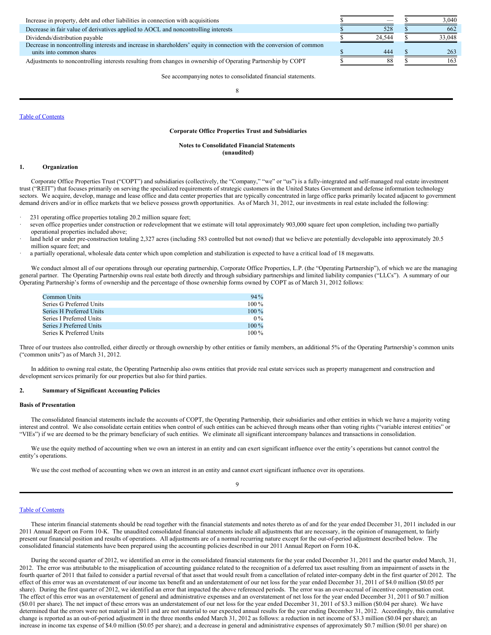| Increase in property, debt and other liabilities in connection with acquisitions                                      |        | 3.040           |
|-----------------------------------------------------------------------------------------------------------------------|--------|-----------------|
| Decrease in fair value of derivatives applied to AOCL and noncontrolling interests                                    | 528    | 662             |
| Dividends/distribution payable                                                                                        | 24.544 | 33,048          |
| Decrease in noncontrolling interests and increase in shareholders' equity in connection with the conversion of common |        |                 |
| units into common shares                                                                                              | 444    | 263             |
| Adjustments to noncontrolling interests resulting from changes in ownership of Operating Partnership by COPT          | 88     | 16 <sup>3</sup> |

See accompanying notes to consolidated financial statements.

# <span id="page-5-0"></span>8

#### Table of [Contents](#page-1-0)

# **Corporate Office Properties Trust and Subsidiaries**

## **Notes to Consolidated Financial Statements (unaudited)**

# **1. Organization**

Corporate Office Properties Trust ("COPT") and subsidiaries (collectively, the "Company," "we" or "us") is a fully-integrated and self-managed real estate investment trust ("REIT") that focuses primarily on serving the specialized requirements of strategic customers in the United States Government and defense information technology sectors. We acquire, develop, manage and lease office and data center properties that are typically concentrated in large office parks primarily located adjacent to government demand drivers and/or in office markets that we believe possess growth opportunities. As of March 31, 2012, our investments in real estate included the following:

231 operating office properties totaling 20.2 million square feet;

seven office properties under construction or redevelopment that we estimate will total approximately 903,000 square feet upon completion, including two partially operational properties included above;

land held or under pre-construction totaling 2,327 acres (including 583 controlled but not owned) that we believe are potentially developable into approximately 20.5 million square feet; and

· a partially operational, wholesale data center which upon completion and stabilization is expected to have a critical load of 18 megawatts.

We conduct almost all of our operations through our operating partnership, Corporate Office Properties, L.P. (the "Operating Partnership"), of which we are the managing general partner. The Operating Partnership owns real estate both directly and through subsidiary partnerships and limited liability companies ("LLCs"). A summary of our Operating Partnership's forms of ownership and the percentage of those ownership forms owned by COPT as of March 31, 2012 follows:

| Common Units             | $94\%$  |
|--------------------------|---------|
| Series G Preferred Units | $100\%$ |
| Series H Preferred Units | $100\%$ |
| Series I Preferred Units | $0\%$   |
| Series J Preferred Units | $100\%$ |
| Series K Preferred Units | $100\%$ |

Three of our trustees also controlled, either directly or through ownership by other entities or family members, an additional 5% of the Operating Partnership's common units ("common units") as of March 31, 2012.

In addition to owning real estate, the Operating Partnership also owns entities that provide real estate services such as property management and construction and development services primarily for our properties but also for third parties.

#### **2. Summary of Significant Accounting Policies**

# **Basis of Presentation**

The consolidated financial statements include the accounts of COPT, the Operating Partnership, their subsidiaries and other entities in which we have a majority voting interest and control. We also consolidate certain entities when control of such entities can be achieved through means other than voting rights ("variable interest entities" or "VIEs") if we are deemed to be the primary beneficiary of such entities. We eliminate all significant intercompany balances and transactions in consolidation.

We use the equity method of accounting when we own an interest in an entity and can exert significant influence over the entity's operations but cannot control the entity's operations.

We use the cost method of accounting when we own an interest in an entity and cannot exert significant influence over its operations.

#### 9

### Table of [Contents](#page-1-0)

These interim financial statements should be read together with the financial statements and notes thereto as of and for the year ended December 31, 2011 included in our 2011 Annual Report on Form 10-K. The unaudited consolidated financial statements include all adjustments that are necessary, in the opinion of management, to fairly present our financial position and results of operations. All adjustments are of a normal recurring nature except for the out-of-period adjustment described below. The consolidated financial statements have been prepared using the accounting policies described in our 2011 Annual Report on Form 10-K.

During the second quarter of 2012, we identified an error in the consolidated financial statements for the year ended December 31, 2011 and the quarter ended March, 31, 2012. The error was attributable to the misapplication of accounting guidance related to the recognition of a deferred tax asset resulting from an impairment of assets in the fourth quarter of 2011 that failed to consider a partial reversal of that asset that would result from a cancellation of related inter-company debt in the first quarter of 2012. The effect of this error was an overstatement of our income tax benefit and an understatement of our net loss for the year ended December 31, 2011 of \$4.0 million (\$0.05 per share). During the first quarter of 2012, we identified an error that impacted the above referenced periods. The error was an over-accrual of incentive compensation cost. The effect of this error was an overstatement of general and administrative expenses and an overstatement of net loss for the year ended December 31, 2011 of \$0.7 million (\$0.01 per share). The net impact of these errors was an understatement of our net loss for the year ended December 31, 2011 of \$3.3 million (\$0.04 per share). We have determined that the errors were not material in 2011 and are not material to our expected annual results for the year ending December 31, 2012. Accordingly, this cumulative change is reported as an out-of-period adjustment in the three months ended March 31, 2012 as follows: a reduction in net income of \$3.3 million (\$0.04 per share); an increase in income tax expense of \$4.0 million (\$0.05 per share); and a decrease in general and administrative expenses of approximately \$0.7 million (\$0.01 per share) on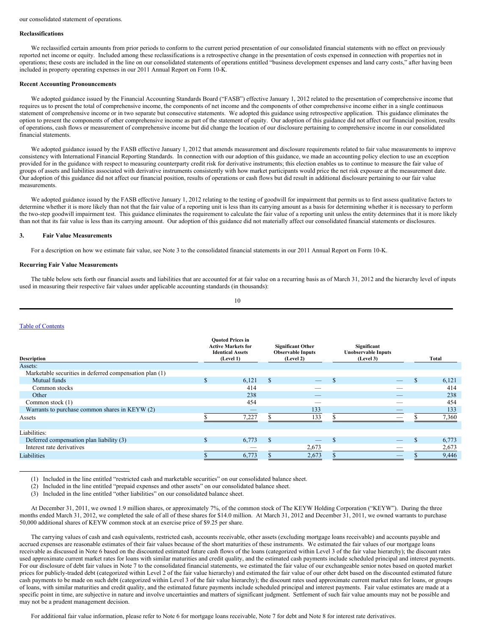# **Reclassifications**

We reclassified certain amounts from prior periods to conform to the current period presentation of our consolidated financial statements with no effect on previously reported net income or equity. Included among these reclassifications is a retrospective change in the presentation of costs expensed in connection with properties not in operations; these costs are included in the line on our consolidated statements of operations entitled "business development expenses and land carry costs," after having been included in property operating expenses in our 2011 Annual Report on Form 10-K.

#### **Recent Accounting Pronouncements**

We adopted guidance issued by the Financial Accounting Standards Board ("FASB") effective January 1, 2012 related to the presentation of comprehensive income that requires us to present the total of comprehensive income, the components of net income and the components of other comprehensive income either in a single continuous statement of comprehensive income or in two separate but consecutive statements. We adopted this guidance using retrospective application. This guidance eliminates the option to present the components of other comprehensive income as part of the statement of equity. Our adoption of this guidance did not affect our financial position, results of operations, cash flows or measurement of comprehensive income but did change the location of our disclosure pertaining to comprehensive income in our consolidated financial statements.

We adopted guidance issued by the FASB effective January 1, 2012 that amends measurement and disclosure requirements related to fair value measurements to improve consistency with International Financial Reporting Standards. In connection with our adoption of this guidance, we made an accounting policy election to use an exception provided for in the guidance with respect to measuring counterparty credit risk for derivative instruments; this election enables us to continue to measure the fair value of groups of assets and liabilities associated with derivative instruments consistently with how market participants would price the net risk exposure at the measurement date. Our adoption of this guidance did not affect our financial position, results of operations or cash flows but did result in additional disclosure pertaining to our fair value measurements.

We adopted guidance issued by the FASB effective January 1, 2012 relating to the testing of goodwill for impairment that permits us to first assess qualitative factors to determine whether it is more likely than not that the fair value of a reporting unit is less than its carrying amount as a basis for determining whether it is necessary to perform the two-step goodwill impairment test. This guidance eliminates the requirement to calculate the fair value of a reporting unit unless the entity determines that it is more likely than not that its fair value is less than its carrying amount. Our adoption of this guidance did not materially affect our consolidated financial statements or disclosures.

#### **3. Fair Value Measurements**

For a description on how we estimate fair value, see Note 3 to the consolidated financial statements in our 2011 Annual Report on Form 10-K.

### **Recurring Fair Value Measurements**

The table below sets forth our financial assets and liabilities that are accounted for at fair value on a recurring basis as of March 31, 2012 and the hierarchy level of inputs used in measuring their respective fair values under applicable accounting standards (in thousands):

10

### Table of [Contents](#page-1-0)

| <b>Description</b><br>Assets:                           |   | <b>Ouoted Prices in</b><br><b>Active Markets for</b><br><b>Identical Assets</b><br>(Level 1) |               | <b>Significant Other</b><br><b>Observable Inputs</b><br>(Level 2) | Significant<br><b>Unobservable Inputs</b><br>(Level 3) | Total |       |  |
|---------------------------------------------------------|---|----------------------------------------------------------------------------------------------|---------------|-------------------------------------------------------------------|--------------------------------------------------------|-------|-------|--|
| Marketable securities in deferred compensation plan (1) |   |                                                                                              |               |                                                                   |                                                        |       |       |  |
| Mutual funds                                            | S | 6,121                                                                                        | <sup>\$</sup> | _                                                                 |                                                        |       | 6,121 |  |
| Common stocks                                           |   | 414                                                                                          |               |                                                                   |                                                        |       | 414   |  |
| Other                                                   |   | 238                                                                                          |               | _                                                                 |                                                        |       | 238   |  |
| Common stock (1)                                        |   | 454                                                                                          |               | __                                                                |                                                        |       | 454   |  |
| Warrants to purchase common shares in KEYW (2)          |   |                                                                                              |               | 133                                                               |                                                        |       | 133   |  |
| Assets                                                  |   | 7,227                                                                                        |               | 133                                                               | $\overline{\phantom{a}}$                               |       | 7,360 |  |
| Liabilities:                                            |   |                                                                                              |               |                                                                   |                                                        |       |       |  |
| Deferred compensation plan liability (3)                |   | 6,773                                                                                        | <sup>\$</sup> |                                                                   | \$                                                     |       | 6,773 |  |
| Interest rate derivatives                               |   |                                                                                              |               | 2,673                                                             |                                                        |       | 2,673 |  |
| Liabilities                                             |   | 6,773                                                                                        |               | 2,673                                                             |                                                        |       | 9,446 |  |

(1) Included in the line entitled "restricted cash and marketable securities" on our consolidated balance sheet.

(2) Included in the line entitled "prepaid expenses and other assets" on our consolidated balance sheet.

(3) Included in the line entitled "other liabilities" on our consolidated balance sheet.

At December 31, 2011, we owned 1.9 million shares, or approximately 7%, of the common stock of The KEYW Holding Corporation ("KEYW"). During the three months ended March 31, 2012, we completed the sale of all of these shares for \$14.0 million. At March 31, 2012 and December 31, 2011, we owned warrants to purchase 50,000 additional shares of KEYW common stock at an exercise price of \$9.25 per share.

The carrying values of cash and cash equivalents, restricted cash, accounts receivable, other assets (excluding mortgage loans receivable) and accounts payable and accrued expenses are reasonable estimates of their fair values because of the short maturities of these instruments. We estimated the fair values of our mortgage loans receivable as discussed in Note 6 based on the discounted estimated future cash flows of the loans (categorized within Level 3 of the fair value hierarchy); the discount rates used approximate current market rates for loans with similar maturities and credit quality, and the estimated cash payments include scheduled principal and interest payments. For our disclosure of debt fair values in Note 7 to the consolidated financial statements, we estimated the fair value of our exchangeable senior notes based on quoted market prices for publicly-traded debt (categorized within Level 2 of the fair value hierarchy) and estimated the fair value of our other debt based on the discounted estimated future cash payments to be made on such debt (categorized within Level 3 of the fair value hierarchy); the discount rates used approximate current market rates for loans, or groups of loans, with similar maturities and credit quality, and the estimated future payments include scheduled principal and interest payments. Fair value estimates are made at a specific point in time, are subjective in nature and involve uncertainties and matters of significant judgment. Settlement of such fair value amounts may not be possible and may not be a prudent management decision.

For additional fair value information, please refer to Note 6 for mortgage loans receivable, Note 7 for debt and Note 8 for interest rate derivatives.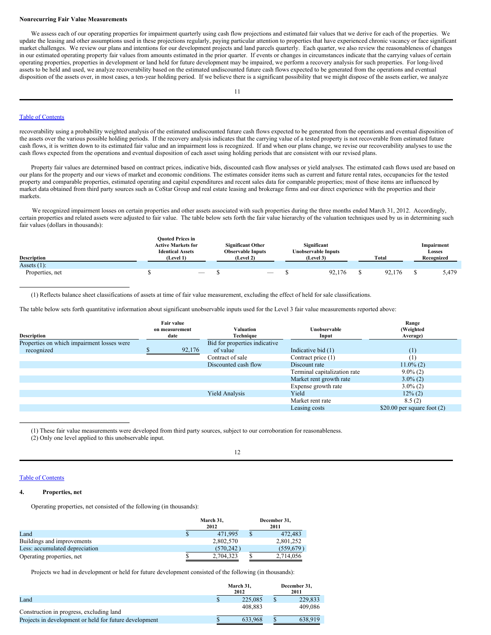#### **Nonrecurring Fair Value Measurements**

We assess each of our operating properties for impairment quarterly using cash flow projections and estimated fair values that we derive for each of the properties. We update the leasing and other assumptions used in these projections regularly, paying particular attention to properties that have experienced chronic vacancy or face significant market challenges. We review our plans and intentions for our development projects and land parcels quarterly. Each quarter, we also review the reasonableness of changes in our estimated operating property fair values from amounts estimated in the prior quarter. If events or changes in circumstances indicate that the carrying values of certain operating properties, properties in development or land held for future development may be impaired, we perform a recovery analysis for such properties. For long-lived assets to be held and used, we analyze recoverability based on the estimated undiscounted future cash flows expected to be generated from the operations and eventual disposition of the assets over, in most cases, a ten-year holding period. If we believe there is a significant possibility that we might dispose of the assets earlier, we analyze

# Table of [Contents](#page-1-0)

recoverability using a probability weighted analysis of the estimated undiscounted future cash flows expected to be generated from the operations and eventual disposition of the assets over the various possible holding periods. If the recovery analysis indicates that the carrying value of a tested property is not recoverable from estimated future cash flows, it is written down to its estimated fair value and an impairment loss is recognized. If and when our plans change, we revise our recoverability analyses to use the cash flows expected from the operations and eventual disposition of each asset using holding periods that are consistent with our revised plans.

Property fair values are determined based on contract prices, indicative bids, discounted cash flow analyses or yield analyses. The estimated cash flows used are based on our plans for the property and our views of market and economic conditions. The estimates consider items such as current and future rental rates, occupancies for the tested property and comparable properties, estimated operating and capital expenditures and recent sales data for comparable properties; most of these items are influenced by market data obtained from third party sources such as CoStar Group and real estate leasing and brokerage firms and our direct experience with the properties and their markets.

We recognized impairment losses on certain properties and other assets associated with such properties during the three months ended March 31, 2012. Accordingly, certain properties and related assets were adjusted to fair value. The table below sets forth the fair value hierarchy of the valuation techniques used by us in determining such fair values (dollars in thousands):

|                    | <b>Ouoted Prices in</b><br><b>Active Markets for</b><br><b>Identical Assets</b> |  | <b>Significant Other</b><br><b>Observable Inputs</b> |  | Significant<br><b>Unobservable Inputs</b> |        |            | Impairment<br><b>Losses</b> |
|--------------------|---------------------------------------------------------------------------------|--|------------------------------------------------------|--|-------------------------------------------|--------|------------|-----------------------------|
| <b>Description</b> | (Level 1)                                                                       |  | (Level 2)                                            |  | (Level 3)                                 | Total  | Recognized |                             |
| Assets $(1)$ :     |                                                                                 |  |                                                      |  |                                           |        |            |                             |
| Properties, net    | $\overline{\phantom{a}}$                                                        |  |                                                      |  | 92.176                                    | 92.176 |            | 5,479                       |

(1) Reflects balance sheet classifications of assets at time of fair value measurement, excluding the effect of held for sale classifications.

The table below sets forth quantitative information about significant unobservable inputs used for the Level 3 fair value measurements reported above:

|                                            |                        | Fair value |                               | Unobservable                 | Range                         |
|--------------------------------------------|------------------------|------------|-------------------------------|------------------------------|-------------------------------|
| <b>Description</b>                         | on measurement<br>date |            | Valuation<br>Technique        |                              | (Weighted<br>Average)         |
| Properties on which impairment losses were |                        |            | Bid for properties indicative |                              |                               |
| recognized                                 |                        | 92,176     | of value                      | Indicative bid $(1)$         | (1)                           |
|                                            |                        |            | Contract of sale              | Contract price (1)           | (1)                           |
|                                            |                        |            | Discounted cash flow          | Discount rate                | $11.0\%$ (2)                  |
|                                            |                        |            |                               | Terminal capitalization rate | $9.0\%$ (2)                   |
|                                            |                        |            |                               | Market rent growth rate      | $3.0\%$ (2)                   |
|                                            |                        |            |                               | Expense growth rate          | $3.0\%$ (2)                   |
|                                            |                        |            | <b>Yield Analysis</b>         | Yield                        | $12\%$ (2)                    |
|                                            |                        |            |                               | Market rent rate             | 8.5(2)                        |
|                                            |                        |            |                               | Leasing costs                | \$20.00 per square foot $(2)$ |

(1) These fair value measurements were developed from third party sources, subject to our corroboration for reasonableness. (2) Only one level applied to this unobservable input.

### Table of [Contents](#page-1-0)

## **4. Properties, net**

Operating properties, net consisted of the following (in thousands):

|                                | March 31,<br>2012 |          | December 31,<br>2011 |
|--------------------------------|-------------------|----------|----------------------|
| Land                           | 471.995           | <b>S</b> | 472,483              |
| Buildings and improvements     | 2,802,570         |          | 2,801,252            |
| Less: accumulated depreciation | (570.242)         |          | (559.679)            |
| Operating properties, net      | 2.704.323         |          | 2,714,056            |

Projects we had in development or held for future development consisted of the following (in thousands):

|                                                        | March 31.<br>2012 | December 31,<br>2011 |
|--------------------------------------------------------|-------------------|----------------------|
| Land                                                   | 225,085           | 229,833              |
| Construction in progress, excluding land               | 408.883           | 409,086              |
| Projects in development or held for future development | 633.968           | 638.919              |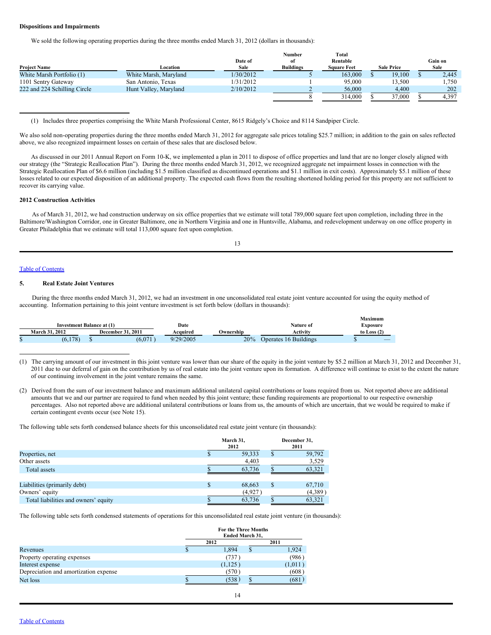### **Dispositions and Impairments**

We sold the following operating properties during the three months ended March 31, 2012 (dollars in thousands):

|                              |                       |           | Number           | <b>Total</b>       |                   |         |
|------------------------------|-----------------------|-----------|------------------|--------------------|-------------------|---------|
|                              |                       | Date of   | -of              | Rentable           |                   | Gain on |
| <b>Project Name</b>          | Location              | Sale      | <b>Buildings</b> | <b>Square Feet</b> | <b>Sale Price</b> | Sale    |
| White Marsh Portfolio (1)    | White Marsh, Maryland | 1/30/2012 |                  | 163,000            | 19.100            | 2.445   |
| 1101 Sentry Gateway          | San Antonio, Texas    | 1/31/2012 |                  | 95,000             | 13.500            | .750    |
| 222 and 224 Schilling Circle | Hunt Valley, Maryland | 2/10/2012 |                  | 56,000             | 4.400             | 202     |
|                              |                       |           |                  | 314,000            | 37,000            | 4.397   |

(1) Includes three properties comprising the White Marsh Professional Center, 8615 Ridgely's Choice and 8114 Sandpiper Circle.

We also sold non-operating properties during the three months ended March 31, 2012 for aggregate sale prices totaling \$25.7 million; in addition to the gain on sales reflected above, we also recognized impairment losses on certain of these sales that are disclosed below.

As discussed in our 2011 Annual Report on Form 10-K, we implemented a plan in 2011 to dispose of office properties and land that are no longer closely aligned with our strategy (the "Strategic Reallocation Plan"). During the three months ended March 31, 2012, we recognized aggregate net impairment losses in connection with the Strategic Reallocation Plan of \$6.6 million (including \$1.5 million classified as discontinued operations and \$1.1 million in exit costs). Approximately \$5.1 million of these losses related to our expected disposition of an additional property. The expected cash flows from the resulting shortened holding period for this property are not sufficient to recover its carrying value.

#### **2012 Construction Activities**

As of March 31, 2012, we had construction underway on six office properties that we estimate will total 789,000 square feet upon completion, including three in the Baltimore/Washington Corridor, one in Greater Baltimore, one in Northern Virginia and one in Huntsville, Alabama, and redevelopment underway on one office property in Greater Philadelphia that we estimate will total 113,000 square feet upon completion.

# Table of [Contents](#page-1-0)

#### **5. Real Estate Joint Ventures**

During the three months ended March 31, 2012, we had an investment in one unconsolidated real estate joint venture accounted for using the equity method of accounting. Information pertaining to this joint venture investment is set forth below (dollars in thousands):

|                           |                          |           |           |                       | Maximum                  |
|---------------------------|--------------------------|-----------|-----------|-----------------------|--------------------------|
| Investment Balance at (1) |                          | Date      |           | <b>Nature of</b>      | Exposure                 |
| <b>March 31, 2012</b>     | <b>December 31, 2011</b> | Acauired  | Ownership | Activity              | to Loss $(2)$            |
| (6,178)                   | (6.071)                  | 9/29/2005 | 20%       | Operates 16 Buildings | $\overline{\phantom{a}}$ |

(1) The carrying amount of our investment in this joint venture was lower than our share of the equity in the joint venture by \$5.2 million at March 31, 2012 and December 31, 2011 due to our deferral of gain on the contribution by us of real estate into the joint venture upon its formation. A difference will continue to exist to the extent the nature of our continuing involvement in the joint venture remains the same.

(2) Derived from the sum of our investment balance and maximum additional unilateral capital contributions or loans required from us. Not reported above are additional amounts that we and our partner are required to fund when needed by this joint venture; these funding requirements are proportional to our respective ownership percentages. Also not reported above are additional unilateral contributions or loans from us, the amounts of which are uncertain, that we would be required to make if certain contingent events occur (see Note 15).

The following table sets forth condensed balance sheets for this unconsolidated real estate joint venture (in thousands):

|                                      | March 31,<br>2012 |         |   | December 31,<br>2011 |  |  |
|--------------------------------------|-------------------|---------|---|----------------------|--|--|
| Properties, net                      |                   | 59,333  | S | 59,792               |  |  |
| Other assets                         |                   | 4,403   |   | 3,529                |  |  |
| Total assets                         |                   | 63.736  |   | 63,321               |  |  |
|                                      |                   |         |   |                      |  |  |
| Liabilities (primarily debt)         |                   | 68,663  | S | 67,710               |  |  |
| Owners' equity                       |                   | (4,927) |   | (4,389)              |  |  |
| Total liabilities and owners' equity |                   | 63,736  |   | 63,321               |  |  |

The following table sets forth condensed statements of operations for this unconsolidated real estate joint venture (in thousands):

|                                       | <b>For the Three Months</b><br>Ended March 31. |    |         |  |  |  |  |
|---------------------------------------|------------------------------------------------|----|---------|--|--|--|--|
|                                       | 2012                                           |    | 2011    |  |  |  |  |
| Revenues                              | 1,894                                          | \$ | 1,924   |  |  |  |  |
| Property operating expenses           | (737)                                          |    | (986)   |  |  |  |  |
| Interest expense                      | (1, 125)                                       |    | (1,011) |  |  |  |  |
| Depreciation and amortization expense | (570)                                          |    | (608    |  |  |  |  |
| Net loss                              | (538)                                          |    | (681)   |  |  |  |  |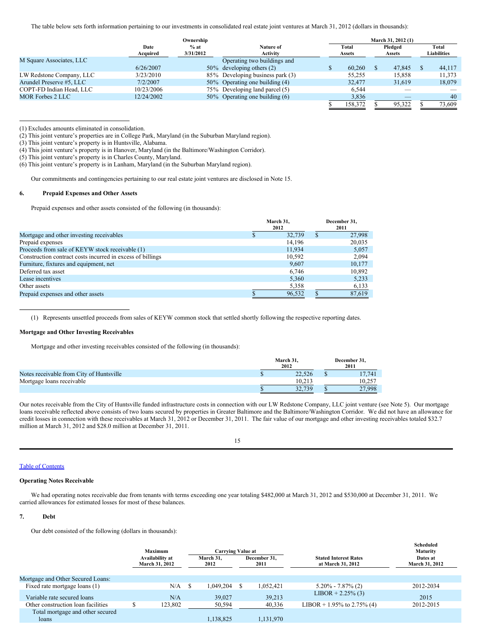The table below sets forth information pertaining to our investments in consolidated real estate joint ventures at March 31, 2012 (dollars in thousands):

| Ownership                |                  |                     |                                  |                        | March 31, 2012 (1) |                      |
|--------------------------|------------------|---------------------|----------------------------------|------------------------|--------------------|----------------------|
|                          | Date<br>Acquired | $%$ at<br>3/31/2012 | Nature of<br><b>Activity</b>     | Total<br><b>Assets</b> | Pledged<br>Assets  | Total<br>Liabilities |
| M Square Associates, LLC |                  |                     | Operating two buildings and      |                        |                    |                      |
|                          | 6/26/2007        |                     | $50\%$ developing others (2)     | 60.260                 | 47,845             | 44,117               |
| LW Redstone Company, LLC | 3/23/2010        |                     | 85% Developing business park (3) | 55.255                 | 15.858             | 11.373               |
| Arundel Preserve #5, LLC | 7/2/2007         |                     | 50% Operating one building (4)   | 32,477                 | 31.619             | 18,079               |
| COPT-FD Indian Head, LLC | 10/23/2006       |                     | 75% Developing land parcel (5)   | 6.544                  |                    |                      |
| <b>MOR Forbes 2 LLC</b>  | 12/24/2002       |                     | 50% Operating one building (6)   | 3,836                  |                    | 40                   |
|                          |                  |                     |                                  | 158.372                | 95.322             | 73.609               |

<sup>(1)</sup> Excludes amounts eliminated in consolidation.

(3) This joint venture's property is in Huntsville, Alabama.

(5) This joint venture's property is in Charles County, Maryland.

Our commitments and contingencies pertaining to our real estate joint ventures are disclosed in Note 15.

## **6. Prepaid Expenses and Other Assets**

Prepaid expenses and other assets consisted of the following (in thousands):

|                                                            | March 31.<br>2012 | December 31,<br>2011 |
|------------------------------------------------------------|-------------------|----------------------|
| Mortgage and other investing receivables                   | 32.739            | 27,998               |
| Prepaid expenses                                           | 14.196            | 20,035               |
| Proceeds from sale of KEYW stock receivable (1)            | 11.934            | 5,057                |
| Construction contract costs incurred in excess of billings | 10,592            | 2,094                |
| Furniture, fixtures and equipment, net                     | 9.607             | 10.177               |
| Deferred tax asset                                         | 6.746             | 10,892               |
| Lease incentives                                           | 5.360             | 5,233                |
| Other assets                                               | 5,358             | 6,133                |
| Prepaid expenses and other assets                          | 96.532            | 87,619               |

(1) Represents unsettled proceeds from sales of KEYW common stock that settled shortly following the respective reporting dates.

# **Mortgage and Other Investing Receivables**

Mortgage and other investing receivables consisted of the following (in thousands):

|                                          | March 31, | December 31. |
|------------------------------------------|-----------|--------------|
|                                          | 2012      | 2011         |
| Notes receivable from City of Huntsville | 22,526    | 17.741       |
| Mortgage loans receivable                | 10.213    | $10.25^{2}$  |
|                                          | 32.739    | 27.998       |

Our notes receivable from the City of Huntsville funded infrastructure costs in connection with our LW Redstone Company, LLC joint venture (see Note 5). Our mortgage loans receivable reflected above consists of two loans secured by properties in Greater Baltimore and the Baltimore/Washington Corridor. We did not have an allowance for credit losses in connection with these receivables at March 31, 2012 or December 31, 2011. The fair value of our mortgage and other investing receivables totaled \$32.7 million at March 31, 2012 and \$28.0 million at December 31, 2011.

# 15

# Table of [Contents](#page-1-0)

# **Operating Notes Receivable**

We had operating notes receivable due from tenants with terms exceeding one year totaling \$482,000 at March 31, 2012 and \$530,000 at December 31, 2011. We carried allowances for estimated losses for most of these balances.

# **7. Debt**

Our debt consisted of the following (dollars in thousands):

|                                    | <b>Maximum</b>                           | <b>Carrying Value at</b> |                                                                           |           |                            | <b>Scheduled</b><br>Maturity      |  |
|------------------------------------|------------------------------------------|--------------------------|---------------------------------------------------------------------------|-----------|----------------------------|-----------------------------------|--|
|                                    | Availability at<br><b>March 31, 2012</b> | March 31.<br>2012        | December 31.<br><b>Stated Interest Rates</b><br>at March 31, 2012<br>2011 |           |                            | Dates at<br><b>March 31, 2012</b> |  |
| Mortgage and Other Secured Loans:  |                                          |                          |                                                                           |           |                            |                                   |  |
| Fixed rate mortgage loans (1)      | N/A                                      | 1.049.204                |                                                                           | 1,052,421 | $5.20\% - 7.87\% (2)$      | 2012-2034                         |  |
| Variable rate secured loans        | N/A                                      | 39,027                   |                                                                           | 39,213    | $LIBOR + 2.25\% (3)$       | 2015                              |  |
| Other construction loan facilities | 123,802                                  | 50,594                   |                                                                           | 40,336    | LIBOR + 1.95% to 2.75% (4) | 2012-2015                         |  |
| Total mortgage and other secured   |                                          |                          |                                                                           |           |                            |                                   |  |
| loans                              |                                          | 1,138,825                |                                                                           | 1,131,970 |                            |                                   |  |

<sup>(2)</sup> This joint venture's properties are in College Park, Maryland (in the Suburban Maryland region).

<sup>(4)</sup> This joint venture's property is in Hanover, Maryland (in the Baltimore/Washington Corridor).

<sup>(6)</sup> This joint venture's property is in Lanham, Maryland (in the Suburban Maryland region).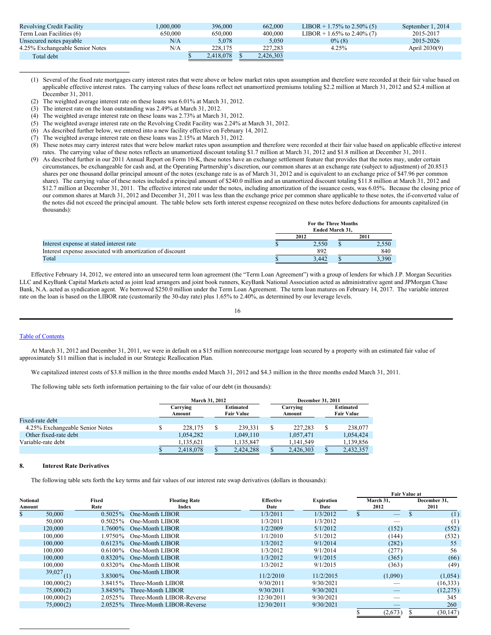| <b>Revolving Credit Facility</b> | .000.000 | 396,000   | 662,000   | LIBOR + 1.75% to 2.50% (5) | September 1, 2014 |
|----------------------------------|----------|-----------|-----------|----------------------------|-------------------|
| Term Loan Facilities (6)         | 650,000  | 650,000   | 400,000   | LIBOR + 1.65% to 2.40% (7) | 2015-2017         |
| Unsecured notes payable          | N/A      | 5.078     | 5.050     | $0\%$ (8)                  | 2015-2026         |
| 4.25% Exchangeable Senior Notes  | N/A      | 228,175   | 227.283   | 4.25%                      | April 2030(9)     |
| Total debt                       |          | 2.418.078 | 2.426.303 |                            |                   |

(1) Several of the fixed rate mortgages carry interest rates that were above or below market rates upon assumption and therefore were recorded at their fair value based on applicable effective interest rates. The carrying values of these loans reflect net unamortized premiums totaling \$2.2 million at March 31, 2012 and \$2.4 million at December 31, 2011.

- (4) The weighted average interest rate on these loans was 2.73% at March 31, 2012.
- (5) The weighted average interest rate on the Revolving Credit Facility was 2.24% at March 31, 2012.
- (6) As described further below, we entered into a new facility effective on February 14, 2012.
- (7) The weighted average interest rate on these loans was 2.15% at March 31, 2012.
- (8) These notes may carry interest rates that were below market rates upon assumption and therefore were recorded at their fair value based on applicable effective interest rates. The carrying value of these notes reflects an unamortized discount totaling \$1.7 million at March 31, 2012 and \$1.8 million at December 31, 2011.
- (9) As described further in our 2011 Annual Report on Form 10-K, these notes have an exchange settlement feature that provides that the notes may, under certain circumstances, be exchangeable for cash and, at the Operating Partnership's discretion, our common shares at an exchange rate (subject to adjustment) of 20.8513 shares per one thousand dollar principal amount of the notes (exchange rate is as of March 31, 2012 and is equivalent to an exchange price of \$47.96 per common share). The carrying value of these notes included a principal amount of \$240.0 million and an unamortized discount totaling \$11.8 million at March 31, 2012 and \$12.7 million at December 31, 2011. The effective interest rate under the notes, including amortization of the issuance costs, was 6.05%. Because the closing price of our common shares at March 31, 2012 and December 31, 2011 was less than the exchange price per common share applicable to these notes, the if-converted value of the notes did not exceed the principal amount. The table below sets forth interest expense recognized on these notes before deductions for amounts capitalized (in thousands):

|                                                           | <b>For the Three Months</b><br><b>Ended March 31.</b> |       |
|-----------------------------------------------------------|-------------------------------------------------------|-------|
|                                                           | 2012                                                  | 2011  |
| Interest expense at stated interest rate                  | 2.550                                                 | 2.550 |
| Interest expense associated with amortization of discount | 892                                                   | 840   |
| Total                                                     | 3.442                                                 | 3.390 |

Effective February 14, 2012, we entered into an unsecured term loan agreement (the "Term Loan Agreement") with a group of lenders for which J.P. Morgan Securities LLC and KeyBank Capital Markets acted as joint lead arrangers and joint book runners, KeyBank National Association acted as administrative agent and JPMorgan Chase Bank, N.A. acted as syndication agent. We borrowed \$250.0 million under the Term Loan Agreement. The term loan matures on February 14, 2017. The variable interest rate on the loan is based on the LIBOR rate (customarily the 30-day rate) plus 1.65% to 2.40%, as determined by our leverage levels.

16

### Table of [Contents](#page-1-0)

At March 31, 2012 and December 31, 2011, we were in default on a \$15 million nonrecourse mortgage loan secured by a property with an estimated fair value of approximately \$11 million that is included in our Strategic Reallocation Plan.

We capitalized interest costs of \$3.8 million in the three months ended March 31, 2012 and \$4.3 million in the three months ended March 31, 2011.

The following table sets forth information pertaining to the fair value of our debt (in thousands):

|                                 | March 31, 2012     |  |                                       |   | December 31, 2011  |  |                                       |  |  |  |  |
|---------------------------------|--------------------|--|---------------------------------------|---|--------------------|--|---------------------------------------|--|--|--|--|
|                                 | Carrying<br>Amount |  | <b>Estimated</b><br><b>Fair Value</b> |   | Carrying<br>Amount |  | <b>Estimated</b><br><b>Fair Value</b> |  |  |  |  |
| Fixed-rate debt                 |                    |  |                                       |   |                    |  |                                       |  |  |  |  |
| 4.25% Exchangeable Senior Notes | 228,175            |  | 239.331                               | S | 227,283            |  | 238,077                               |  |  |  |  |
| Other fixed-rate debt           | 1.054.282          |  | 1.049.110                             |   | 1,057,471          |  | 1.054.424                             |  |  |  |  |
| Variable-rate debt              | 1.135.621          |  | 1.135.847                             |   | 1,141,549          |  | 1,139,856                             |  |  |  |  |
|                                 | 2.418,078          |  | 2.424.288                             |   | 2.426.303          |  | 2.432.357                             |  |  |  |  |

#### **8. Interest Rate Derivatives**

The following table sets forth the key terms and fair values of our interest rate swap derivatives (dollars in thousands):

|                           |                         |               |                               |                          |                           |                   | <b>Fair Value at</b> |                      |
|---------------------------|-------------------------|---------------|-------------------------------|--------------------------|---------------------------|-------------------|----------------------|----------------------|
| <b>Notional</b><br>Amount |                         | Fixed<br>Rate | <b>Floating Rate</b><br>Index | <b>Effective</b><br>Date | <b>Expiration</b><br>Date | March 31,<br>2012 |                      | December 31,<br>2011 |
| \$                        | 50,000                  | $0.5025\%$    | One-Month LIBOR               | 1/3/2011                 | 1/3/2012                  | \$                |                      | (1)                  |
|                           | 50,000                  | $0.5025\%$    | One-Month LIBOR               | 1/3/2011                 | 1/3/2012                  |                   |                      | (1)                  |
|                           | 120,000                 | 1.7600%       | One-Month LIBOR               | 1/2/2009                 | 5/1/2012                  | (152)             |                      | (552)                |
|                           | 100,000                 | 1.9750%       | One-Month LIBOR               | 1/1/2010                 | 5/1/2012                  | (144)             |                      | (532)                |
|                           | 100,000                 | $0.6123\%$    | One-Month LIBOR               | 1/3/2012                 | 9/1/2014                  | (282)             |                      | 55                   |
|                           | 100,000                 | $0.6100\%$    | One-Month LIBOR               | 1/3/2012                 | 9/1/2014                  | (277)             |                      | 56                   |
|                           | 100,000                 | $0.8320\%$    | One-Month LIBOR               | 1/3/2012                 | 9/1/2015                  | (365)             |                      | (66)                 |
|                           | 100,000                 | $0.8320\%$    | One-Month LIBOR               | 1/3/2012                 | 9/1/2015                  | (363)             |                      | (49)                 |
|                           | $39,027$ <sub>(1)</sub> | 3.8300%       | One-Month LIBOR               | 11/2/2010                | 11/2/2015                 | (1,090)           |                      | (1,054)              |
|                           | 100,000(2)              | 3.8415%       | Three-Month LIBOR             | 9/30/2011                | 9/30/2021                 |                   |                      | (16, 333)            |
|                           | 75,000(2)               | 3.8450%       | Three-Month LIBOR             | 9/30/2011                | 9/30/2021                 | _                 |                      | (12, 275)            |
|                           | 100,000(2)              | $2.0525\%$    | Three-Month LIBOR-Reverse     | 12/30/2011               | 9/30/2021                 | --                |                      | 345                  |
|                           | 75,000(2)               | $2.0525\%$    | Three-Month LIBOR-Reverse     | 12/30/2011               | 9/30/2021                 |                   |                      | 260                  |
|                           |                         |               |                               |                          |                           | (2,673)           |                      | (30, 147)            |

<sup>(2)</sup> The weighted average interest rate on these loans was 6.01% at March 31, 2012.

<sup>(3)</sup> The interest rate on the loan outstanding was 2.49% at March 31, 2012.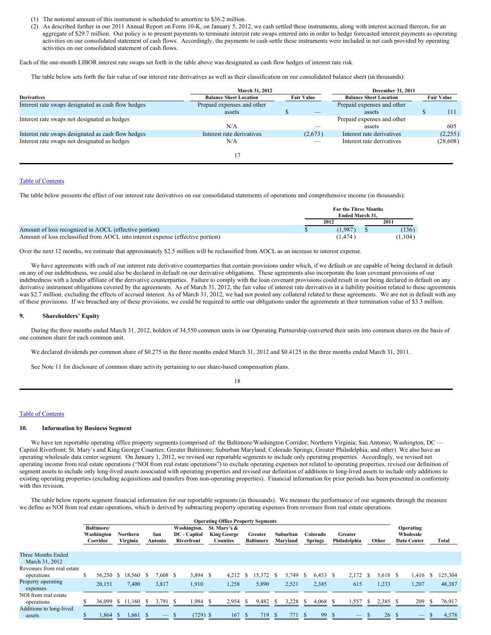- (1) The notional amount of this instrument is scheduled to amortize to \$36.2 million.
- (2) As described further in our 2011 Annual Report on Form 10-K, on January 5, 2012, we cash settled these instruments, along with interest accrued thereon, for an aggregate of \$29.7 million. Our policy is to present payments to terminate interest rate swaps entered into in order to hedge forecasted interest payments as operating activities on our consolidated statement of cash flows. Accordingly, the payments to cash settle these instruments were included in net cash provided by operating activities on our consolidated statement of cash flows.

Each of the one-month LIBOR interest rate swaps set forth in the table above was designated as cash flow hedges of interest rate risk.

The table below sets forth the fair value of our interest rate derivatives as well as their classification on our consolidated balance sheet (in thousands):

|                                                    | March 31, 2012                |  | December 31, 2011        |                               |  |                   |  |  |
|----------------------------------------------------|-------------------------------|--|--------------------------|-------------------------------|--|-------------------|--|--|
| <b>Derivatives</b>                                 | <b>Balance Sheet Location</b> |  | <b>Fair Value</b>        | <b>Balance Sheet Location</b> |  | <b>Fair Value</b> |  |  |
| Interest rate swaps designated as cash flow hedges | Prepaid expenses and other    |  |                          | Prepaid expenses and other    |  |                   |  |  |
|                                                    | assets                        |  | $\overline{\phantom{a}}$ | assets                        |  | 111               |  |  |
| Interest rate swaps not designated as hedges       |                               |  |                          | Prepaid expenses and other    |  |                   |  |  |
|                                                    | N/A                           |  |                          | assets                        |  | 605               |  |  |
| Interest rate swaps designated as cash flow hedges | Interest rate derivatives     |  | (2,673)                  | Interest rate derivatives     |  | (2,255)           |  |  |
| Interest rate swaps not designated as hedges       | N/A                           |  | $\overline{\phantom{a}}$ | Interest rate derivatives     |  | (28,608)          |  |  |
|                                                    |                               |  |                          |                               |  |                   |  |  |

# Table of [Contents](#page-1-0)

The table below presents the effect of our interest rate derivatives on our consolidated statements of operations and comprehensive income (in thousands):

|                                                                                 | <b>For the Three Months</b><br><b>Ended March 31.</b> |         |
|---------------------------------------------------------------------------------|-------------------------------------------------------|---------|
|                                                                                 | 2012                                                  | 2011    |
| Amount of loss recognized in AOCL (effective portion)                           | (1.987)                                               | (136)   |
| Amount of loss reclassified from AOCL into interest expense (effective portion) | (1.474                                                | (1,104) |

Over the next 12 months, we estimate that approximately \$2.5 million will be reclassified from AOCL as an increase to interest expense.

We have agreements with each of our interest rate derivative counterparties that contain provisions under which, if we default or are capable of being declared in default on any of our indebtedness, we could also be declared in default on our derivative obligations. These agreements also incorporate the loan covenant provisions of our indebtedness with a lender affiliate of the derivative counterparties. Failure to comply with the loan covenant provisions could result in our being declared in default on any derivative instrument obligations covered by the agreements. As of March 31, 2012, the fair value of interest rate derivatives in a liability position related to these agreements was \$2.7 million, excluding the effects of accrued interest. As of March 31, 2012, we had not posted any collateral related to these agreements. We are not in default with any of these provisions. If we breached any of these provisions, we could be required to settle our obligations under the agreements at their termination value of \$3.3 million.

# **9. Shareholders' Equity**

During the three months ended March 31, 2012, holders of 34,550 common units in our Operating Partnership converted their units into common shares on the basis of one common share for each common unit.

We declared dividends per common share of \$0.275 in the three months ended March 31, 2012 and \$0.4125 in the three months ended March 31, 2011.

See Note 11 for disclosure of common share activity pertaining to our share-based compensation plans.

18

### Table of [Contents](#page-1-0)

### **10. Information by Business Segment**

We have ten reportable operating office property segments (comprised of: the Baltimore/Washington Corridor; Northern Virginia; San Antonio; Washington, DC — Capitol Riverfront; St. Mary's and King George Counties; Greater Baltimore; Suburban Maryland; Colorado Springs; Greater Philadelphia; and other). We also have an operating wholesale data center segment. On January 1, 2012, we revised our reportable segments to include only operating properties. Accordingly, we revised net operating income from real estate operations ("NOI from real estate operations") to exclude operating expenses not related to operating properties, revised our definition of segment assets to include only long-lived assets associated with operating properties and revised our definition of additions to long-lived assets to include only additions to existing operating properties (excluding acquisitions and transfers from non-operating properties). Financial information for prior periods has been presented in conformity with this revision.

The table below reports segment financial information for our reportable segments (in thousands). We measure the performance of our segments through the measure we define as NOI from real estate operations, which is derived by subtracting property operating expenses from revenues from real estate operations.

|                                         |                                      |            |    |                      |              |                |     |                                           |    | <b>Operating Office Property Segments</b>             |      |                             |      |                      |    |                            |               |                         |   |          |                    |                                       |   |              |
|-----------------------------------------|--------------------------------------|------------|----|----------------------|--------------|----------------|-----|-------------------------------------------|----|-------------------------------------------------------|------|-----------------------------|------|----------------------|----|----------------------------|---------------|-------------------------|---|----------|--------------------|---------------------------------------|---|--------------|
|                                         | Baltimore/<br>Washington<br>Corridor |            |    | Northern<br>Virginia |              | San<br>Antonio |     | Washington,<br>DC - Capitol<br>Riverfront |    | St. Mary's &<br><b>King George</b><br><b>Counties</b> |      | Greater<br><b>Baltimore</b> |      | Suburban<br>Maryland |    | Colorado<br><b>Springs</b> |               | Greater<br>Philadelphia |   | Other    |                    | Operating<br>Wholesale<br>Data Center |   | <b>Total</b> |
| Three Months Ended<br>March 31, 2012    |                                      |            |    |                      |              |                |     |                                           |    |                                                       |      |                             |      |                      |    |                            |               |                         |   |          |                    |                                       |   |              |
| Revenues from real estate<br>operations | S                                    | 56,250     | -S | 18,560 \$            |              | 7,608 \$       |     | 3,894 \$                                  |    | 4,212                                                 |      | 15,372                      | -S   | 5,749                | S  | 6.453 \$                   |               | 2,172                   | S | 3,618 \$ |                    | 1,416                                 | S | 125,304      |
| Property operating<br>expenses          |                                      | 20.151     |    | 7.400                |              | 3,817          |     | 1,910                                     |    | 1,258                                                 |      | 5,890                       |      | 2,521                |    | 2,385                      |               | 615                     |   | 1,233    |                    | 1,207                                 |   | 48,387       |
| NOI from real estate<br>operations      |                                      |            |    | 36,099 \$ 11,160     | <sup>S</sup> | 3,791          | - S | 1.984                                     | -S | 2,954                                                 | -S   | 9,482                       | -S   | 3,228                | -S | 4,068                      |               | 1,557                   | S | 2,385    |                    | 209                                   |   | 76,917       |
| Additions to long-lived<br>assets       |                                      | $1,864$ \$ |    | 1,661                | - \$         |                |     | $(729)$ \$                                |    | 167                                                   | - \$ | 719                         | - \$ | 771                  | -8 | 99                         | $\mathcal{S}$ | $\frac{1}{2}$           |   | 26       | $\mathbf{\hat{x}}$ |                                       |   | 4,578        |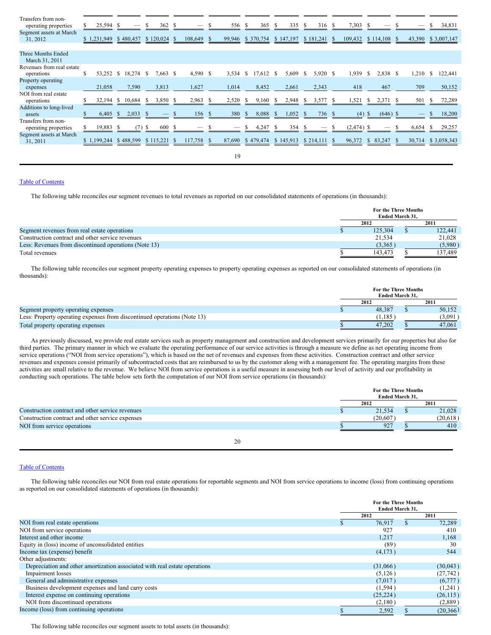| Transfers from non-<br>operating properties |    | 25,594 \$   |    |                     |    | 362        | -S            |            | £.           | 556    | -S            | 365              | -S   | 335                               | S            | 316        | -S           | 7,303            | S  |           |    |            | 34,831      |
|---------------------------------------------|----|-------------|----|---------------------|----|------------|---------------|------------|--------------|--------|---------------|------------------|------|-----------------------------------|--------------|------------|--------------|------------------|----|-----------|----|------------|-------------|
| Segment assets at March<br>31, 2012         |    | \$1,231,949 |    | \$480,457           |    | \$120,024  | <sup>\$</sup> | 108,649    | <sup>S</sup> | 99,946 |               | \$370,754        |      | \$147,197                         |              | \$181,241  | $\mathbf{s}$ | 109,432          |    | \$114,108 | -S | 43,390     | \$3,007,147 |
| Three Months Ended                          |    |             |    |                     |    |            |               |            |              |        |               |                  |      |                                   |              |            |              |                  |    |           |    |            |             |
| March 31, 2011                              |    |             |    |                     |    |            |               |            |              |        |               |                  |      |                                   |              |            |              |                  |    |           |    |            |             |
| Revenues from real estate<br>operations     | S  |             |    | 53,252 \$ 18,274 \$ |    | $7,663$ \$ |               | $4,590$ \$ |              | 3,534  | -S            | 17,612 \$        |      | 5,609                             | -S           | $5,920$ \$ |              | 1,939            | S  | 2,838 \$  |    | $1,210$ \$ | 122,441     |
| Property operating<br>expenses              |    | 21,058      |    | 7,590               |    | 3,813      |               | 1,627      |              | 1,014  |               | 8,452            |      | 2,661                             |              | 2,343      |              | 418              |    | 467       |    | 709        | 50,152      |
| NOI from real estate<br>operations          | ъ. |             |    | 32,194 \$ 10,684    | -S | 3,850 \$   |               | 2,963      | -S           | 2,520  | -S            | 9,160            | - S  | 2,948                             | S            | 3,577      | -S           | 1,521            | S  | 2,371 \$  |    | 501        | 72,289      |
| Additions to long-lived<br>assets           |    | 6,405       | -S | 2,033               |    |            |               | 156        | -S           | 380    | <sup>\$</sup> | 8,088            | -S   | 1,052                             | <sup>S</sup> | 736        | - S          | (4)              | -S | (646)     |    |            | 18,200      |
| Transfers from non-<br>operating properties |    | 19,883      | S  | (7)                 | -S | 600        | -S            | —          |              |        | S.            | 4,247            | - \$ | 354                               | -S           |            |              | $(2,474)$ \$     |    |           |    | 6,654      | 29,257      |
| Segment assets at March<br>31, 2011         |    | \$1,199,244 |    | \$488,599           |    | \$115,221  | -\$           | 117,758 \$ |              |        |               | 87,690 \$479,474 |      | $$145,913 \quad $214,111 \quad $$ |              |            |              | 96,372 \$ 83,247 |    |           | -S | 30,714     | \$3,058,343 |
|                                             |    |             |    |                     |    |            |               |            |              |        |               |                  |      |                                   |              |            |              |                  |    |           |    |            |             |

19

# Table of [Contents](#page-1-0)

The following table reconciles our segment revenues to total revenues as reported on our consolidated statements of operations (in thousands):

|                                                       | For the Three Months<br><b>Ended March 31.</b> |         |
|-------------------------------------------------------|------------------------------------------------|---------|
|                                                       | 2012                                           | 2011    |
| Segment revenues from real estate operations          | 125.304                                        | 122,441 |
| Construction contract and other service revenues      | 21.534                                         | 21,028  |
| Less: Revenues from discontinued operations (Note 13) | (3, 365)                                       | (5,980) |
| Total revenues                                        | 143.473                                        | 137.489 |

The following table reconciles our segment property operating expenses to property operating expenses as reported on our consolidated statements of operations (in thousands):

|                                                                          | For the Three Months<br><b>Ended March 31.</b> |         |
|--------------------------------------------------------------------------|------------------------------------------------|---------|
|                                                                          | 2012                                           | 2011    |
| Segment property operating expenses                                      | 48.387                                         | 50.152  |
| Less: Property operating expenses from discontinued operations (Note 13) | (1.185)                                        | (3.091) |
| Total property operating expenses                                        | 47,202                                         | 47,061  |

As previously discussed, we provide real estate services such as property management and construction and development services primarily for our properties but also for third parties. The primary manner in which we evaluate the operating performance of our service activities is through a measure we define as net operating income from service operations ("NOI from service operations"), which is based on the net of revenues and expenses from these activities. Construction contract and other service revenues and expenses consist primarily of subcontracted costs that are reimbursed to us by the customer along with a management fee. The operating margins from these activities are small relative to the revenue. We believe NOI from service operations is a useful measure in assessing both our level of activity and our profitability in conducting such operations. The table below sets forth the computation of our NOI from service operations (in thousands):

|                                                  | <b>For the Three Months</b><br><b>Ended March 31.</b> |          |
|--------------------------------------------------|-------------------------------------------------------|----------|
|                                                  | 2012                                                  | 2011     |
| Construction contract and other service revenues | 21,534                                                | 21,028   |
| Construction contract and other service expenses | (20,607)                                              | (20,618) |
| NOI from service operations                      | 927                                                   | 410      |
|                                                  |                                                       |          |
| 20                                               |                                                       |          |

# Table of [Contents](#page-1-0)

The following table reconciles our NOI from real estate operations for reportable segments and NOI from service operations to income (loss) from continuing operations as reported on our consolidated statements of operations (in thousands):

|                                                                            |      | <b>For the Three Months</b><br>Ended March 31, |  |           |  |  |
|----------------------------------------------------------------------------|------|------------------------------------------------|--|-----------|--|--|
|                                                                            | 2012 |                                                |  | 2011      |  |  |
| NOI from real estate operations                                            |      | 76,917                                         |  | 72,289    |  |  |
| NOI from service operations                                                |      | 927                                            |  | 410       |  |  |
| Interest and other income                                                  |      | 1,217                                          |  | 1,168     |  |  |
| Equity in (loss) income of unconsolidated entities                         |      | (89)                                           |  | 30        |  |  |
| Income tax (expense) benefit                                               |      | (4,173)                                        |  | 544       |  |  |
| Other adjustments:                                                         |      |                                                |  |           |  |  |
| Depreciation and other amortization associated with real estate operations |      | (31,066)                                       |  | (30,043)  |  |  |
| Impairment losses                                                          |      | (5,126)                                        |  | (27,742)  |  |  |
| General and administrative expenses                                        |      | (7,017)                                        |  | (6,777)   |  |  |
| Business development expenses and land carry costs                         |      | (1, 594)                                       |  | (1,241)   |  |  |
| Interest expense on continuing operations                                  |      | (25, 224)                                      |  | (26, 115) |  |  |
| NOI from discontinued operations                                           |      | (2,180)                                        |  | (2,889)   |  |  |
| Income (loss) from continuing operations                                   |      | 2,592                                          |  | (20, 366) |  |  |

The following table reconciles our segment assets to total assets (in thousands):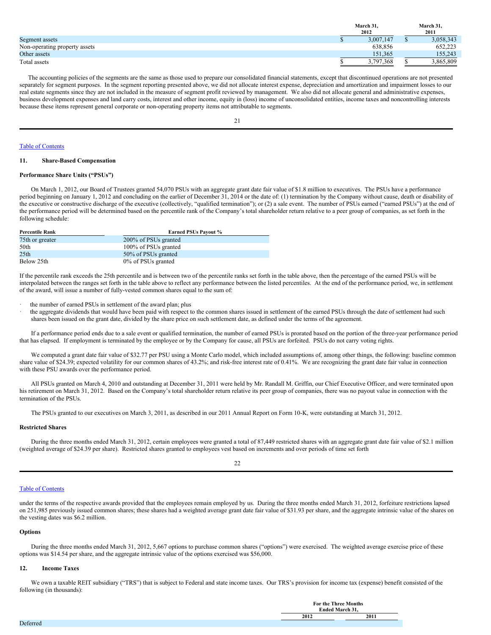|                               | March 31,<br>2012 | March 31.<br>2011 |
|-------------------------------|-------------------|-------------------|
| Segment assets                | 3,007,147         | 3,058,343         |
| Non-operating property assets | 638,856           | 652,223           |
| Other assets                  | 151.365           | 155.243           |
| Total assets                  | 3,797,368         | 3,865,809         |

The accounting policies of the segments are the same as those used to prepare our consolidated financial statements, except that discontinued operations are not presented separately for segment purposes. In the segment reporting presented above, we did not allocate interest expense, depreciation and amortization and impairment losses to our real estate segments since they are not included in the measure of segment profit reviewed by management. We also did not allocate general and administrative expenses, business development expenses and land carry costs, interest and other income, equity in (loss) income of unconsolidated entities, income taxes and noncontrolling interests because these items represent general corporate or non-operating property items not attributable to segments.

21

# Table of [Contents](#page-1-0)

### **11. Share-Based Compensation**

# **Performance Share Units ("PSUs")**

On March 1, 2012, our Board of Trustees granted 54,070 PSUs with an aggregate grant date fair value of \$1.8 million to executives. The PSUs have a performance period beginning on January 1, 2012 and concluding on the earlier of December 31, 2014 or the date of: (1) termination by the Company without cause, death or disability of the executive or constructive discharge of the executive (collectively, "qualified termination"); or (2) a sale event. The number of PSUs earned ("earned PSUs") at the end of the performance period will be determined based on the percentile rank of the Company's total shareholder return relative to a peer group of companies, as set forth in the following schedule:

| <b>Percentile Rank</b> | <b>Earned PSUs Payout %</b> |
|------------------------|-----------------------------|
| 75th or greater        | 200% of PSUs granted        |
| 50th                   | 100% of PSUs granted        |
| 25 <sub>th</sub>       | 50% of PSUs granted         |
| Below 25th             | 0% of PSUs granted          |

If the percentile rank exceeds the 25th percentile and is between two of the percentile ranks set forth in the table above, then the percentage of the earned PSUs will be interpolated between the ranges set forth in the table above to reflect any performance between the listed percentiles. At the end of the performance period, we, in settlement of the award, will issue a number of fully-vested common shares equal to the sum of:

## the number of earned PSUs in settlement of the award plan; plus

the aggregate dividends that would have been paid with respect to the common shares issued in settlement of the earned PSUs through the date of settlement had such shares been issued on the grant date, divided by the share price on such settlement date, as defined under the terms of the agreement.

If a performance period ends due to a sale event or qualified termination, the number of earned PSUs is prorated based on the portion of the three-year performance period that has elapsed. If employment is terminated by the employee or by the Company for cause, all PSUs are forfeited. PSUs do not carry voting rights.

We computed a grant date fair value of \$32.77 per PSU using a Monte Carlo model, which included assumptions of, among other things, the following: baseline common share value of \$24.39; expected volatility for our common shares of 43.2%; and risk-free interest rate of 0.41%. We are recognizing the grant date fair value in connection with these PSU awards over the performance period.

All PSUs granted on March 4, 2010 and outstanding at December 31, 2011 were held by Mr. Randall M. Griffin, our Chief Executive Officer, and were terminated upon his retirement on March 31, 2012. Based on the Company's total shareholder return relative its peer group of companies, there was no payout value in connection with the termination of the PSUs.

The PSUs granted to our executives on March 3, 2011, as described in our 2011 Annual Report on Form 10-K, were outstanding at March 31, 2012.

# **Restricted Shares**

During the three months ended March 31, 2012, certain employees were granted a total of 87,449 restricted shares with an aggregate grant date fair value of \$2.1 million (weighted average of \$24.39 per share). Restricted shares granted to employees vest based on increments and over periods of time set forth

### Table of [Contents](#page-1-0)

under the terms of the respective awards provided that the employees remain employed by us. During the three months ended March 31, 2012, forfeiture restrictions lapsed on 251,985 previously issued common shares; these shares had a weighted average grant date fair value of \$31.93 per share, and the aggregate intrinsic value of the shares on the vesting dates was \$6.2 million.

#### **Options**

During the three months ended March 31, 2012, 5,667 options to purchase common shares ("options") were exercised. The weighted average exercise price of these options was \$14.54 per share, and the aggregate intrinsic value of the options exercised was \$56,000.

### **12. Income Taxes**

We own a taxable REIT subsidiary ("TRS") that is subject to Federal and state income taxes. Our TRS's provision for income tax (expense) benefit consisted of the following (in thousands):

| For the Three Months<br><b>Ended March 31.</b> |      |      |
|------------------------------------------------|------|------|
|                                                | 2012 | 2011 |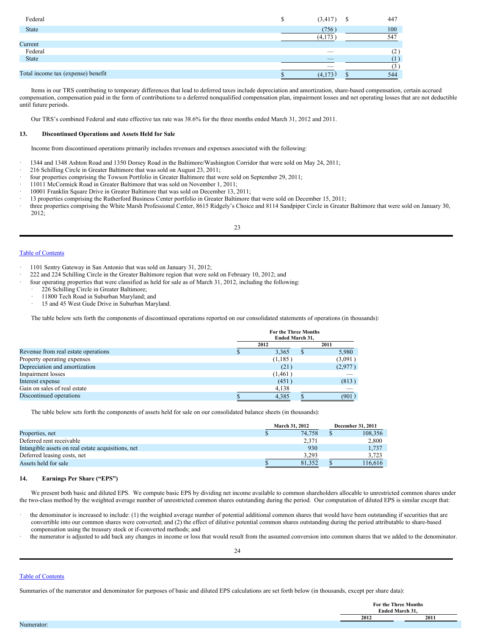| Federal                            | Φ | (3, 417) | S | 447 |
|------------------------------------|---|----------|---|-----|
| <b>State</b>                       |   | (756)    |   | 100 |
|                                    |   | (4,173)  |   | 547 |
| Current                            |   |          |   |     |
| Federal                            |   |          |   | (2) |
| State                              |   | _        |   |     |
|                                    |   | $-$      |   |     |
| Total income tax (expense) benefit |   | (4,173)  |   | 544 |

Items in our TRS contributing to temporary differences that lead to deferred taxes include depreciation and amortization, share-based compensation, certain accrued compensation, compensation paid in the form of contributions to a deferred nonqualified compensation plan, impairment losses and net operating losses that are not deductible until future periods.

Our TRS's combined Federal and state effective tax rate was 38.6% for the three months ended March 31, 2012 and 2011.

# **13. Discontinued Operations and Assets Held for Sale**

Income from discontinued operations primarily includes revenues and expenses associated with the following:

- · 1344 and 1348 Ashton Road and 1350 Dorsey Road in the Baltimore/Washington Corridor that were sold on May 24, 2011;
- · 216 Schilling Circle in Greater Baltimore that was sold on August 23, 2011;
- four properties comprising the Towson Portfolio in Greater Baltimore that were sold on September 29, 2011;
- · 11011 McCormick Road in Greater Baltimore that was sold on November 1, 2011;
- 10001 Franklin Square Drive in Greater Baltimore that was sold on December 13, 2011;
- · 13 properties comprising the Rutherford Business Center portfolio in Greater Baltimore that were sold on December 15, 2011;
- · three properties comprising the White Marsh Professional Center, 8615 Ridgely's Choice and 8114 Sandpiper Circle in Greater Baltimore that were sold on January 30, 2012;

23

### Table of [Contents](#page-1-0)

- · 1101 Sentry Gateway in San Antonio that was sold on January 31, 2012;
- · 222 and 224 Schilling Circle in the Greater Baltimore region that were sold on February 10, 2012; and
- four operating properties that were classified as held for sale as of March 31, 2012, including the following:
	- 226 Schilling Circle in Greater Baltimore;
	- 11800 Tech Road in Suburban Maryland; and
	- 15 and 45 West Gude Drive in Suburban Maryland.

The table below sets forth the components of discontinued operations reported on our consolidated statements of operations (in thousands):

|                                     | <b>For the Three Months</b><br>Ended March 31, |         |   |         |  |  |
|-------------------------------------|------------------------------------------------|---------|---|---------|--|--|
|                                     | 2012                                           |         |   | 2011    |  |  |
| Revenue from real estate operations |                                                | 3.365   | S | 5,980   |  |  |
| Property operating expenses         |                                                | (1,185) |   | (3.091) |  |  |
| Depreciation and amortization       |                                                | (21)    |   | (2,977) |  |  |
| Impairment losses                   |                                                | (1,461) |   |         |  |  |
| Interest expense                    |                                                | (451)   |   | (813)   |  |  |
| Gain on sales of real estate        |                                                | 4,138   |   |         |  |  |
| Discontinued operations             |                                                | 4,385   |   | (901)   |  |  |

The table below sets forth the components of assets held for sale on our consolidated balance sheets (in thousands):

|                                                    | <b>March 31, 2012</b> | December 31, 2011 |         |  |
|----------------------------------------------------|-----------------------|-------------------|---------|--|
| Properties, net                                    | 74.758                |                   | 108,356 |  |
| Deferred rent receivable                           | 2,371                 |                   | 2.800   |  |
| Intangible assets on real estate acquisitions, net | 930                   |                   | 1,737   |  |
| Deferred leasing costs, net                        | 3.293                 |                   | 3,723   |  |
| Assets held for sale                               | 81.352                |                   | 16.616  |  |

# **14. Earnings Per Share ("EPS")**

We present both basic and diluted EPS. We compute basic EPS by dividing net income available to common shareholders allocable to unrestricted common shares under the two-class method by the weighted average number of unrestricted common shares outstanding during the period. Our computation of diluted EPS is similar except that:

- the denominator is increased to include: (1) the weighted average number of potential additional common shares that would have been outstanding if securities that are convertible into our common shares were converted; and (2) the effect of dilutive potential common shares outstanding during the period attributable to share-based compensation using the treasury stock or if-converted methods; and
- the numerator is adjusted to add back any changes in income or loss that would result from the assumed conversion into common shares that we added to the denominator.

24

# Table of [Contents](#page-1-0)

Summaries of the numerator and denominator for purposes of basic and diluted EPS calculations are set forth below (in thousands, except per share data):

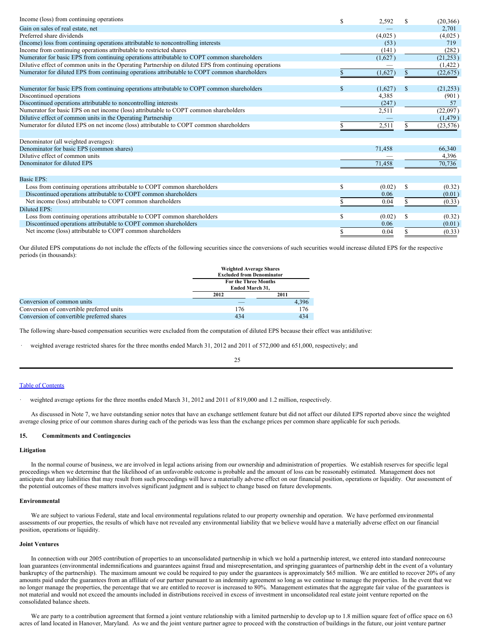| Income (loss) from continuing operations                                                               | S  | 2,592   | S  | (20, 366) |
|--------------------------------------------------------------------------------------------------------|----|---------|----|-----------|
| Gain on sales of real estate, net                                                                      |    |         |    | 2,701     |
| Preferred share dividends                                                                              |    | (4,025) |    | (4,025)   |
| (Income) loss from continuing operations attributable to noncontrolling interests                      |    | (53)    |    | 719       |
| Income from continuing operations attributable to restricted shares                                    |    | (141)   |    | (282)     |
| Numerator for basic EPS from continuing operations attributable to COPT common shareholders            |    | (1,627) |    | (21, 253) |
| Dilutive effect of common units in the Operating Partnership on diluted EPS from continuing operations |    |         |    | (1, 422)  |
| Numerator for diluted EPS from continuing operations attributable to COPT common shareholders          |    | (1,627) | S  | (22, 675) |
|                                                                                                        |    |         |    |           |
| Numerator for basic EPS from continuing operations attributable to COPT common shareholders            | S  | (1,627) | \$ | (21, 253) |
| Discontinued operations                                                                                |    | 4,385   |    | (901)     |
| Discontinued operations attributable to noncontrolling interests                                       |    | (247)   |    | 57        |
| Numerator for basic EPS on net income (loss) attributable to COPT common shareholders                  |    | 2,511   |    | (22,097)  |
| Dilutive effect of common units in the Operating Partnership                                           |    |         |    | (1, 479)  |
| Numerator for diluted EPS on net income (loss) attributable to COPT common shareholders                |    | 2,511   | S  | (23, 576) |
| Denominator (all weighted averages):                                                                   |    |         |    |           |
| Denominator for basic EPS (common shares)                                                              |    | 71,458  |    | 66,340    |
| Dilutive effect of common units                                                                        |    |         |    | 4,396     |
| Denominator for diluted EPS                                                                            |    | 71,458  |    | 70,736    |
|                                                                                                        |    |         |    |           |
| <b>Basic EPS:</b>                                                                                      |    |         |    |           |
| Loss from continuing operations attributable to COPT common shareholders                               | \$ | (0.02)  | \$ | (0.32)    |
| Discontinued operations attributable to COPT common shareholders                                       |    | 0.06    |    | (0.01)    |
| Net income (loss) attributable to COPT common shareholders                                             |    | 0.04    | \$ | (0.33)    |
| Diluted EPS:                                                                                           |    |         |    |           |
| Loss from continuing operations attributable to COPT common shareholders                               | S  | (0.02)  | \$ | (0.32)    |
| Discontinued operations attributable to COPT common shareholders                                       |    | 0.06    |    | (0.01)    |
| Net income (loss) attributable to COPT common shareholders                                             |    | 0.04    |    | (0.33)    |
|                                                                                                        |    |         |    |           |

Our diluted EPS computations do not include the effects of the following securities since the conversions of such securities would increase diluted EPS for the respective periods (in thousands):

|                                            | <b>Weighted Average Shares</b><br><b>Excluded from Denominator</b> |       |  |
|--------------------------------------------|--------------------------------------------------------------------|-------|--|
|                                            | <b>For the Three Months</b><br><b>Ended March 31.</b>              |       |  |
|                                            | 2012                                                               | 2011  |  |
| Conversion of common units                 |                                                                    | 4,396 |  |
| Conversion of convertible preferred units  | 176                                                                | 176   |  |
| Conversion of convertible preferred shares | 434                                                                | 434   |  |

The following share-based compensation securities were excluded from the computation of diluted EPS because their effect was antidilutive:

weighted average restricted shares for the three months ended March 31, 2012 and 2011 of 572,000 and 651,000, respectively; and

# 25

### Table of [Contents](#page-1-0)

weighted average options for the three months ended March 31, 2012 and 2011 of 819,000 and 1.2 million, respectively.

As discussed in Note 7, we have outstanding senior notes that have an exchange settlement feature but did not affect our diluted EPS reported above since the weighted average closing price of our common shares during each of the periods was less than the exchange prices per common share applicable for such periods.

## **15. Commitments and Contingencies**

#### **Litigation**

In the normal course of business, we are involved in legal actions arising from our ownership and administration of properties. We establish reserves for specific legal proceedings when we determine that the likelihood of an unfavorable outcome is probable and the amount of loss can be reasonably estimated. Management does not anticipate that any liabilities that may result from such proceedings will have a materially adverse effect on our financial position, operations or liquidity. Our assessment of the potential outcomes of these matters involves significant judgment and is subject to change based on future developments.

### **Environmental**

We are subject to various Federal, state and local environmental regulations related to our property ownership and operation. We have performed environmental assessments of our properties, the results of which have not revealed any environmental liability that we believe would have a materially adverse effect on our financial position, operations or liquidity.

# **Joint Ventures**

In connection with our 2005 contribution of properties to an unconsolidated partnership in which we hold a partnership interest, we entered into standard nonrecourse loan guarantees (environmental indemnifications and guarantees against fraud and misrepresentation, and springing guarantees of partnership debt in the event of a voluntary bankruptcy of the partnership). The maximum amount we could be required to pay under the guarantees is approximately \$65 million. We are entitled to recover 20% of any amounts paid under the guarantees from an affiliate of our partner pursuant to an indemnity agreement so long as we continue to manage the properties. In the event that we no longer manage the properties, the percentage that we are entitled to recover is increased to 80%. Management estimates that the aggregate fair value of the guarantees is not material and would not exceed the amounts included in distributions received in excess of investment in unconsolidated real estate joint venture reported on the consolidated balance sheets.

We are party to a contribution agreement that formed a joint venture relationship with a limited partnership to develop up to 1.8 million square feet of office space on 63 acres of land located in Hanover, Maryland. As we and the joint venture partner agree to proceed with the construction of buildings in the future, our joint venture partner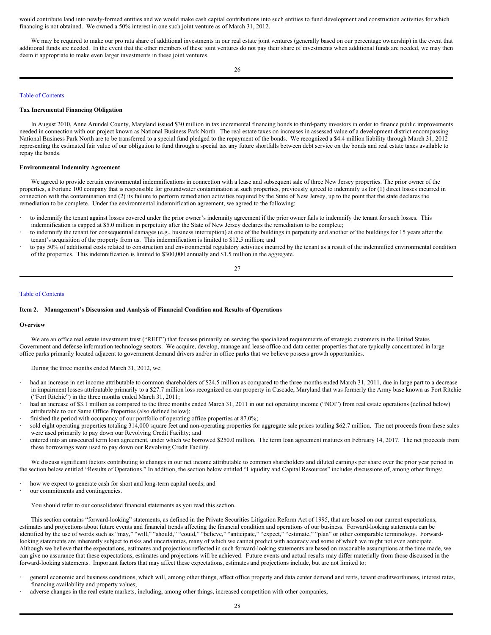would contribute land into newly-formed entities and we would make cash capital contributions into such entities to fund development and construction activities for which financing is not obtained. We owned a 50% interest in one such joint venture as of March 31, 2012.

We may be required to make our pro rata share of additional investments in our real estate joint ventures (generally based on our percentage ownership) in the event that additional funds are needed. In the event that the other members of these joint ventures do not pay their share of investments when additional funds are needed, we may then deem it appropriate to make even larger investments in these joint ventures.

26

# Table of [Contents](#page-1-0)

# **Tax Incremental Financing Obligation**

In August 2010, Anne Arundel County, Maryland issued \$30 million in tax incremental financing bonds to third-party investors in order to finance public improvements needed in connection with our project known as National Business Park North. The real estate taxes on increases in assessed value of a development district encompassing National Business Park North are to be transferred to a special fund pledged to the repayment of the bonds. We recognized a \$4.4 million liability through March 31, 2012 representing the estimated fair value of our obligation to fund through a special tax any future shortfalls between debt service on the bonds and real estate taxes available to repay the bonds.

# **Environmental Indemnity Agreement**

We agreed to provide certain environmental indemnifications in connection with a lease and subsequent sale of three New Jersey properties. The prior owner of the properties, a Fortune 100 company that is responsible for groundwater contamination at such properties, previously agreed to indemnify us for (1) direct losses incurred in connection with the contamination and (2) its failure to perform remediation activities required by the State of New Jersey, up to the point that the state declares the remediation to be complete. Under the environmental indemnification agreement, we agreed to the following:

- to indemnify the tenant against losses covered under the prior owner's indemnity agreement if the prior owner fails to indemnify the tenant for such losses. This indemnification is capped at \$5.0 million in perpetuity after the State of New Jersey declares the remediation to be complete;
- to indemnify the tenant for consequential damages (e.g., business interruption) at one of the buildings in perpetuity and another of the buildings for 15 years after the tenant's acquisition of the property from us. This indemnification is limited to \$12.5 million; and
- to pay 50% of additional costs related to construction and environmental regulatory activities incurred by the tenant as a result of the indemnified environmental condition of the properties. This indemnification is limited to \$300,000 annually and \$1.5 million in the aggregate.

<span id="page-16-0"></span>27

# Table of [Contents](#page-1-0)

#### **Item 2. Management's Discussion and Analysis of Financial Condition and Results of Operations**

#### **Overview**

We are an office real estate investment trust ("REIT") that focuses primarily on serving the specialized requirements of strategic customers in the United States Government and defense information technology sectors. We acquire, develop, manage and lease office and data center properties that are typically concentrated in large office parks primarily located adjacent to government demand drivers and/or in office parks that we believe possess growth opportunities.

During the three months ended March 31, 2012, we:

- had an increase in net income attributable to common shareholders of \$24.5 million as compared to the three months ended March 31, 2011, due in large part to a decrease in impairment losses attributable primarily to a \$27.7 million loss recognized on our property in Cascade, Maryland that was formerly the Army base known as Fort Ritchie ("Fort Ritchie") in the three months ended March 31, 2011;
- had an increase of \$3.1 million as compared to the three months ended March 31, 2011 in our net operating income ("NOI") from real estate operations (defined below) attributable to our Same Office Properties (also defined below);
- finished the period with occupancy of our portfolio of operating office properties at 87.0%;
- sold eight operating properties totaling 314,000 square feet and non-operating properties for aggregate sale prices totaling \$62.7 million. The net proceeds from these sales were used primarily to pay down our Revolving Credit Facility; and
- entered into an unsecured term loan agreement, under which we borrowed \$250.0 million. The term loan agreement matures on February 14, 2017. The net proceeds from these borrowings were used to pay down our Revolving Credit Facility.

We discuss significant factors contributing to changes in our net income attributable to common shareholders and diluted earnings per share over the prior year period in the section below entitled "Results of Operations." In addition, the section below entitled "Liquidity and Capital Resources" includes discussions of, among other things:

- how we expect to generate cash for short and long-term capital needs; and
- our commitments and contingencies.

You should refer to our consolidated financial statements as you read this section.

This section contains "forward-looking" statements, as defined in the Private Securities Litigation Reform Act of 1995, that are based on our current expectations, estimates and projections about future events and financial trends affecting the financial condition and operations of our business. Forward-looking statements can be identified by the use of words such as "may," "will," "should," "could," "believe," "anticipate," "expect," "estimate," "plan" or other comparable terminology. Forwardlooking statements are inherently subject to risks and uncertainties, many of which we cannot predict with accuracy and some of which we might not even anticipate. Although we believe that the expectations, estimates and projections reflected in such forward-looking statements are based on reasonable assumptions at the time made, we can give no assurance that these expectations, estimates and projections will be achieved. Future events and actual results may differ materially from those discussed in the forward-looking statements. Important factors that may affect these expectations, estimates and projections include, but are not limited to:

- · general economic and business conditions, which will, among other things, affect office property and data center demand and rents, tenant creditworthiness, interest rates, financing availability and property values;
- adverse changes in the real estate markets, including, among other things, increased competition with other companies;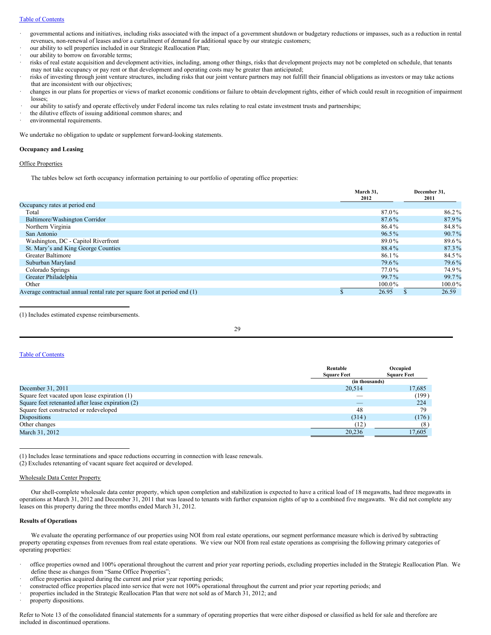- · governmental actions and initiatives, including risks associated with the impact of a government shutdown or budgetary reductions or impasses, such as a reduction in rental revenues, non-renewal of leases and/or a curtailment of demand for additional space by our strategic customers;
- our ability to sell properties included in our Strategic Reallocation Plan;
- our ability to borrow on favorable terms;
- · risks of real estate acquisition and development activities, including, among other things, risks that development projects may not be completed on schedule, that tenants may not take occupancy or pay rent or that development and operating costs may be greater than anticipated;
- · risks of investing through joint venture structures, including risks that our joint venture partners may not fulfill their financial obligations as investors or may take actions that are inconsistent with our objectives;
- · changes in our plans for properties or views of market economic conditions or failure to obtain development rights, either of which could result in recognition of impairment losses;
- our ability to satisfy and operate effectively under Federal income tax rules relating to real estate investment trusts and partnerships;
- the dilutive effects of issuing additional common shares; and
- environmental requirements.

We undertake no obligation to update or supplement forward-looking statements.

# **Occupancy and Leasing**

### Office Properties

The tables below set forth occupancy information pertaining to our portfolio of operating office properties:

|                                                                          | March 31,<br>2012 | December 31,<br>2011 |
|--------------------------------------------------------------------------|-------------------|----------------------|
| Occupancy rates at period end                                            |                   |                      |
| Total                                                                    | 87.0%             | 86.2%                |
| Baltimore/Washington Corridor                                            | 87.6%             | 87.9%                |
| Northern Virginia                                                        | 86.4%             | 84.8%                |
| San Antonio                                                              | $96.5\%$          | $90.7\%$             |
| Washington, DC - Capitol Riverfront                                      | 89.0%             | 89.6%                |
| St. Mary's and King George Counties                                      | 88.4%             | 87.3%                |
| <b>Greater Baltimore</b>                                                 | 86.1%             | 84.5%                |
| Suburban Maryland                                                        | 79.6%             | 79.6%                |
| Colorado Springs                                                         | 77.0%             | 74.9%                |
| Greater Philadelphia                                                     | 99.7%             | 99.7%                |
| Other                                                                    | $100.0\%$         | $100.0\%$            |
| Average contractual annual rental rate per square foot at period end (1) | 26.95             | 26.59                |

(1) Includes estimated expense reimbursements.

#### Table of [Contents](#page-1-0)

|                                                   | Rentable           | Occupied           |  |
|---------------------------------------------------|--------------------|--------------------|--|
|                                                   | <b>Square Feet</b> | <b>Square Feet</b> |  |
|                                                   | (in thousands)     |                    |  |
| December 31, 2011                                 | 20.514             | 17,685             |  |
| Square feet vacated upon lease expiration (1)     |                    | (199)              |  |
| Square feet retenanted after lease expiration (2) | _                  | 224                |  |
| Square feet constructed or redeveloped            | 48                 | 79                 |  |
| <b>Dispositions</b>                               | (314)              | (176)              |  |
| Other changes                                     | (12)               | (8)                |  |
| March 31, 2012                                    | 20,236             | 17.605             |  |

(1) Includes lease terminations and space reductions occurring in connection with lease renewals.

(2) Excludes retenanting of vacant square feet acquired or developed.

### Wholesale Data Center Property

Our shell-complete wholesale data center property, which upon completion and stabilization is expected to have a critical load of 18 megawatts, had three megawatts in operations at March 31, 2012 and December 31, 2011 that was leased to tenants with further expansion rights of up to a combined five megawatts. We did not complete any leases on this property during the three months ended March 31, 2012.

### **Results of Operations**

We evaluate the operating performance of our properties using NOI from real estate operations, our segment performance measure which is derived by subtracting property operating expenses from revenues from real estate operations. We view our NOI from real estate operations as comprising the following primary categories of operating properties:

- · office properties owned and 100% operational throughout the current and prior year reporting periods, excluding properties included in the Strategic Reallocation Plan. We define these as changes from "Same Office Properties";
- office properties acquired during the current and prior year reporting periods;
- constructed office properties placed into service that were not 100% operational throughout the current and prior year reporting periods; and
- properties included in the Strategic Reallocation Plan that were not sold as of March 31, 2012; and
- property dispositions.

Refer to Note 13 of the consolidated financial statements for a summary of operating properties that were either disposed or classified as held for sale and therefore are included in discontinued operations.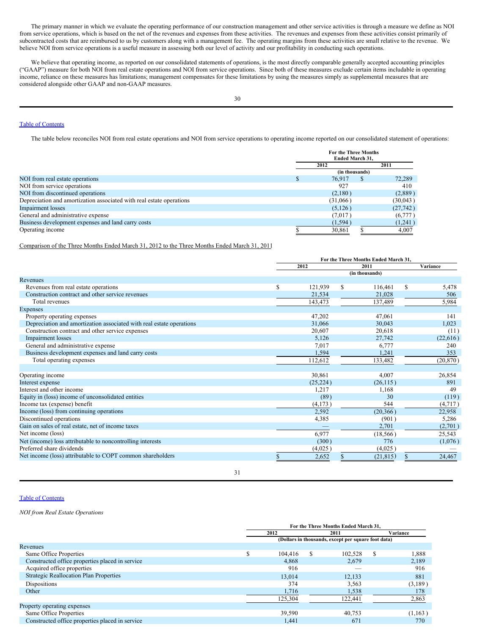The primary manner in which we evaluate the operating performance of our construction management and other service activities is through a measure we define as NOI from service operations, which is based on the net of the revenues and expenses from these activities. The revenues and expenses from these activities consist primarily of subcontracted costs that are reimbursed to us by customers along with a management fee. The operating margins from these activities are small relative to the revenue. We believe NOI from service operations is a useful measure in assessing both our level of activity and our profitability in conducting such operations.

We believe that operating income, as reported on our consolidated statements of operations, is the most directly comparable generally accepted accounting principles ("GAAP") measure for both NOI from real estate operations and NOI from service operations. Since both of these measures exclude certain items includable in operating income, reliance on these measures has limitations; management compensates for these limitations by using the measures simply as supplemental measures that are considered alongside other GAAP and non-GAAP measures.

# Table of [Contents](#page-1-0)

The table below reconciles NOI from real estate operations and NOI from service operations to operating income reported on our consolidated statement of operations:

|                                                                      | <b>For the Three Months</b><br><b>Ended March 31.</b> |   |          |  |
|----------------------------------------------------------------------|-------------------------------------------------------|---|----------|--|
|                                                                      | 2011<br>2012                                          |   |          |  |
|                                                                      | (in thousands)                                        |   |          |  |
| NOI from real estate operations                                      | 76.917                                                | S | 72,289   |  |
| NOI from service operations                                          | 927                                                   |   | 410      |  |
| NOI from discontinued operations                                     | (2,180)                                               |   | (2,889)  |  |
| Depreciation and amortization associated with real estate operations | (31,066)                                              |   | (30,043) |  |
| <b>Impairment</b> losses                                             | (5,126)                                               |   | (27,742) |  |
| General and administrative expense                                   | (7,017)                                               |   | (6,777)  |  |
| Business development expenses and land carry costs                   | (1, 594)                                              |   | (1,241)  |  |
| Operating income                                                     | 30.861                                                |   | 4.007    |  |

Comparison of the Three Months Ended March 31, 2012 to the Three Months Ended March 31, 2011

|                                                                      |     | For the Three Months Ended March 31, |          |                |              |           |
|----------------------------------------------------------------------|-----|--------------------------------------|----------|----------------|--------------|-----------|
|                                                                      |     | 2012                                 |          | 2011           |              | Variance  |
|                                                                      |     |                                      |          | (in thousands) |              |           |
| Revenues                                                             |     |                                      |          |                |              |           |
| Revenues from real estate operations                                 | \$. | 121,939                              | \$       | 116,461        | $\mathbb{S}$ | 5,478     |
| Construction contract and other service revenues                     |     | 21,534                               |          | 21,028         |              | 506       |
| Total revenues                                                       |     | 143,473                              |          | 137,489        |              | 5,984     |
| <b>Expenses</b>                                                      |     |                                      |          |                |              |           |
| Property operating expenses                                          |     | 47,202                               |          | 47,061         |              | 141       |
| Depreciation and amortization associated with real estate operations |     | 31,066                               |          | 30.043         |              | 1,023     |
| Construction contract and other service expenses                     |     | 20,607                               |          | 20,618         |              | (11)      |
| Impairment losses                                                    |     | 5,126                                |          | 27,742         |              | (22,616)  |
| General and administrative expense                                   |     | 7,017                                |          | 6,777          |              | 240       |
| Business development expenses and land carry costs                   |     | 1,594                                |          | 1,241          |              | 353       |
| Total operating expenses                                             |     | 112,612                              |          | 133,482        |              | (20, 870) |
|                                                                      |     |                                      |          |                |              |           |
| Operating income                                                     |     | 30,861                               |          | 4,007          |              | 26,854    |
| Interest expense                                                     |     | (25, 224)                            |          | (26, 115)      |              | 891       |
| Interest and other income                                            |     | 1,217                                |          | 1.168          |              | 49        |
| Equity in (loss) income of unconsolidated entities                   |     | (89)                                 |          | 30             |              | (119)     |
| Income tax (expense) benefit                                         |     | (4,173)                              |          | 544            |              | (4,717)   |
| Income (loss) from continuing operations                             |     | 2,592                                |          | (20, 366)      |              | 22,958    |
| Discontinued operations                                              |     | 4,385                                |          | (901)          |              | 5,286     |
| Gain on sales of real estate, net of income taxes                    |     |                                      |          | 2,701          |              | (2,701)   |
| Net income (loss)                                                    |     | 6,977                                |          | (18, 566)      |              | 25,543    |
| Net (income) loss attributable to noncontrolling interests           |     | (300)                                |          | 776            |              | (1,076)   |
| Preferred share dividends                                            |     | (4,025)                              |          | (4,025)        |              |           |
| Net income (loss) attributable to COPT common shareholders           | S   | 2,652                                | <b>S</b> | (21, 815)      | \$           | 24,467    |

# Table of [Contents](#page-1-0)

*NOI from Real Estate Operations*

|                                                 | For the Three Months Ended March 31, |   |                                                     |          |         |  |
|-------------------------------------------------|--------------------------------------|---|-----------------------------------------------------|----------|---------|--|
|                                                 | 2012<br>2011                         |   |                                                     | Variance |         |  |
|                                                 |                                      |   | (Dollars in thousands, except per square foot data) |          |         |  |
| Revenues                                        |                                      |   |                                                     |          |         |  |
| Same Office Properties                          | 104.416                              | S | 102.528                                             | S        | 1,888   |  |
| Constructed office properties placed in service | 4,868                                |   | 2,679                                               |          | 2,189   |  |
| Acquired office properties                      | 916                                  |   |                                                     |          | 916     |  |
| <b>Strategic Reallocation Plan Properties</b>   | 13.014                               |   | 12,133                                              |          | 881     |  |
| Dispositions                                    | 374                                  |   | 3,563                                               |          | (3,189) |  |
| Other                                           | 1,716                                |   | 1,538                                               |          | 178     |  |
|                                                 | 125,304                              |   | 122,441                                             |          | 2,863   |  |
| Property operating expenses                     |                                      |   |                                                     |          |         |  |
| Same Office Properties                          | 39,590                               |   | 40.753                                              |          | (1,163) |  |
| Constructed office properties placed in service | 1.441                                |   | 671                                                 |          | 770     |  |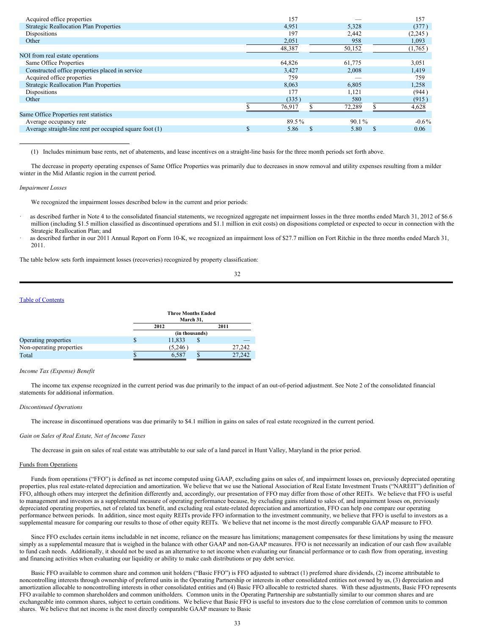| Acquired office properties                              |   | 157    |          | 157        |
|---------------------------------------------------------|---|--------|----------|------------|
| <b>Strategic Reallocation Plan Properties</b>           |   | 4,951  | 5,328    | (377)      |
| Dispositions                                            |   | 197    | 2,442    | (2,245)    |
| Other                                                   |   | 2,051  | 958      | 1,093      |
|                                                         |   | 48,387 | 50,152   | (1,765)    |
| NOI from real estate operations                         |   |        |          |            |
| Same Office Properties                                  |   | 64,826 | 61,775   | 3,051      |
| Constructed office properties placed in service         |   | 3,427  | 2,008    | 1,419      |
| Acquired office properties                              |   | 759    |          | 759        |
| <b>Strategic Reallocation Plan Properties</b>           |   | 8,063  | 6,805    | 1,258      |
| Dispositions                                            |   | 177    | 1,121    | (944)      |
| Other                                                   |   | (335)  | 580      | (915)      |
|                                                         |   | 76,917 | 72,289   | 4,628      |
| Same Office Properties rent statistics                  |   |        |          |            |
| Average occupancy rate                                  |   | 89.5%  | $90.1\%$ | $-0.6\%$   |
| Average straight-line rent per occupied square foot (1) | Ф | 5.86   | 5.80     | \$<br>0.06 |

(1) Includes minimum base rents, net of abatements, and lease incentives on a straight-line basis for the three month periods set forth above.

The decrease in property operating expenses of Same Office Properties was primarily due to decreases in snow removal and utility expenses resulting from a milder winter in the Mid Atlantic region in the current period.

# *Impairment Losses*

We recognized the impairment losses described below in the current and prior periods:

- as described further in Note 4 to the consolidated financial statements, we recognized aggregate net impairment losses in the three months ended March 31, 2012 of \$6.6 million (including \$1.5 million classified as discontinued operations and \$1.1 million in exit costs) on dispositions completed or expected to occur in connection with the Strategic Reallocation Plan; and
- as described further in our 2011 Annual Report on Form 10-K, we recognized an impairment loss of \$27.7 million on Fort Ritchie in the three months ended March 31, 2011.

The table below sets forth impairment losses (recoveries) recognized by property classification:

32

# Table of [Contents](#page-1-0)

|                          | <b>Three Months Ended</b> | March 31,      |        |
|--------------------------|---------------------------|----------------|--------|
|                          | 2012                      |                | 2011   |
|                          |                           | (in thousands) |        |
| Operating properties     | 11,833                    | Ъ              |        |
| Non-operating properties | (5.246)                   |                | 27.242 |
| Total                    | 6.587                     |                | 27.242 |

### *Income Tax (Expense) Benefit*

The income tax expense recognized in the current period was due primarily to the impact of an out-of-period adjustment. See Note 2 of the consolidated financial statements for additional information.

#### *Discontinued Operations*

The increase in discontinued operations was due primarily to \$4.1 million in gains on sales of real estate recognized in the current period.

# *Gain on Sales of Real Estate, Net of Income Taxes*

The decrease in gain on sales of real estate was attributable to our sale of a land parcel in Hunt Valley, Maryland in the prior period.

### Funds from Operations

Funds from operations ("FFO") is defined as net income computed using GAAP, excluding gains on sales of, and impairment losses on, previously depreciated operating properties, plus real estate-related depreciation and amortization. We believe that we use the National Association of Real Estate Investment Trusts ("NAREIT") definition of FFO, although others may interpret the definition differently and, accordingly, our presentation of FFO may differ from those of other REITs. We believe that FFO is useful to management and investors as a supplemental measure of operating performance because, by excluding gains related to sales of, and impairment losses on, previously depreciated operating properties, net of related tax benefit, and excluding real estate-related depreciation and amortization, FFO can help one compare our operating performance between periods. In addition, since most equity REITs provide FFO information to the investment community, we believe that FFO is useful to investors as a supplemental measure for comparing our results to those of other equity REITs. We believe that net income is the most directly comparable GAAP measure to FFO.

Since FFO excludes certain items includable in net income, reliance on the measure has limitations; management compensates for these limitations by using the measure simply as a supplemental measure that is weighed in the balance with other GAAP and non-GAAP measures. FFO is not necessarily an indication of our cash flow available to fund cash needs. Additionally, it should not be used as an alternative to net income when evaluating our financial performance or to cash flow from operating, investing and financing activities when evaluating our liquidity or ability to make cash distributions or pay debt service.

Basic FFO available to common share and common unit holders ("Basic FFO") is FFO adjusted to subtract (1) preferred share dividends, (2) income attributable to noncontrolling interests through ownership of preferred units in the Operating Partnership or interests in other consolidated entities not owned by us, (3) depreciation and amortization allocable to noncontrolling interests in other consolidated entities and (4) Basic FFO allocable to restricted shares. With these adjustments, Basic FFO represents FFO available to common shareholders and common unitholders. Common units in the Operating Partnership are substantially similar to our common shares and are exchangeable into common shares, subject to certain conditions. We believe that Basic FFO is useful to investors due to the close correlation of common units to common shares. We believe that net income is the most directly comparable GAAP measure to Basic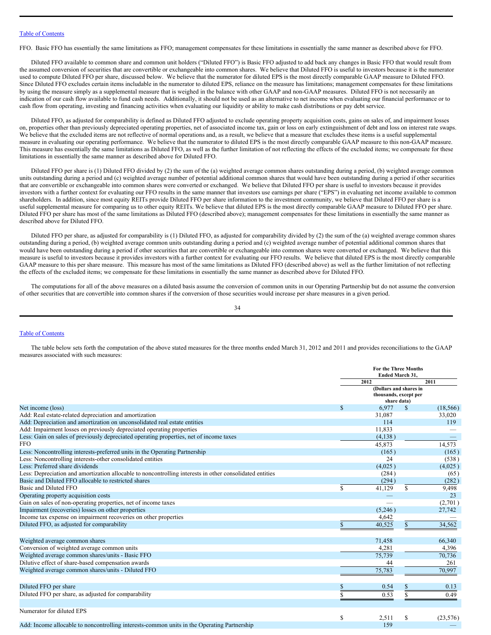# Table of [Contents](#page-1-0)

FFO. Basic FFO has essentially the same limitations as FFO; management compensates for these limitations in essentially the same manner as described above for FFO.

Diluted FFO available to common share and common unit holders ("Diluted FFO") is Basic FFO adjusted to add back any changes in Basic FFO that would result from the assumed conversion of securities that are convertible or exchangeable into common shares. We believe that Diluted FFO is useful to investors because it is the numerator used to compute Diluted FFO per share, discussed below. We believe that the numerator for diluted EPS is the most directly comparable GAAP measure to Diluted FFO. Since Diluted FFO excludes certain items includable in the numerator to diluted EPS, reliance on the measure has limitations; management compensates for these limitations by using the measure simply as a supplemental measure that is weighed in the balance with other GAAP and non-GAAP measures. Diluted FFO is not necessarily an indication of our cash flow available to fund cash needs. Additionally, it should not be used as an alternative to net income when evaluating our financial performance or to cash flow from operating, investing and financing activities when evaluating our liquidity or ability to make cash distributions or pay debt service.

Diluted FFO, as adjusted for comparability is defined as Diluted FFO adjusted to exclude operating property acquisition costs, gains on sales of, and impairment losses on, properties other than previously depreciated operating properties, net of associated income tax, gain or loss on early extinguishment of debt and loss on interest rate swaps. We believe that the excluded items are not reflective of normal operations and, as a result, we believe that a measure that excludes these items is a useful supplemental measure in evaluating our operating performance. We believe that the numerator to diluted EPS is the most directly comparable GAAP measure to this non-GAAP measure. This measure has essentially the same limitations as Diluted FFO, as well as the further limitation of not reflecting the effects of the excluded items; we compensate for these limitations in essentially the same manner as described above for Diluted FFO.

Diluted FFO per share is (1) Diluted FFO divided by (2) the sum of the (a) weighted average common shares outstanding during a period, (b) weighted average common units outstanding during a period and (c) weighted average number of potential additional common shares that would have been outstanding during a period if other securities that are convertible or exchangeable into common shares were converted or exchanged. We believe that Diluted FFO per share is useful to investors because it provides investors with a further context for evaluating our FFO results in the same manner that investors use earnings per share ("EPS") in evaluating net income available to common shareholders. In addition, since most equity REITs provide Diluted FFO per share information to the investment community, we believe that Diluted FFO per share is a useful supplemental measure for comparing us to other equity REITs. We believe that diluted EPS is the most directly comparable GAAP measure to Diluted FFO per share. Diluted FFO per share has most of the same limitations as Diluted FFO (described above); management compensates for these limitations in essentially the same manner as described above for Diluted FFO.

Diluted FFO per share, as adjusted for comparability is (1) Diluted FFO, as adjusted for comparability divided by (2) the sum of the (a) weighted average common shares outstanding during a period, (b) weighted average common units outstanding during a period and (c) weighted average number of potential additional common shares that would have been outstanding during a period if other securities that are convertible or exchangeable into common shares were converted or exchanged. We believe that this measure is useful to investors because it provides investors with a further context for evaluating our FFO results. We believe that diluted EPS is the most directly comparable GAAP measure to this per share measure. This measure has most of the same limitations as Diluted FFO (described above) as well as the further limitation of not reflecting the effects of the excluded items; we compensate for these limitations in essentially the same manner as described above for Diluted FFO.

The computations for all of the above measures on a diluted basis assume the conversion of common units in our Operating Partnership but do not assume the conversion of other securities that are convertible into common shares if the conversion of those securities would increase per share measures in a given period.

34

## Table of [Contents](#page-1-0)

The table below sets forth the computation of the above stated measures for the three months ended March 31, 2012 and 2011 and provides reconciliations to the GAAP measures associated with such measures:

|                                                                                                          | <b>For the Three Months</b><br><b>Ended March 31.</b> |                                                                |              |           |
|----------------------------------------------------------------------------------------------------------|-------------------------------------------------------|----------------------------------------------------------------|--------------|-----------|
|                                                                                                          |                                                       | 2012                                                           |              | 2011      |
|                                                                                                          |                                                       | (Dollars and shares in<br>thousands, except per<br>share data) |              |           |
| Net income (loss)                                                                                        | <b>S</b>                                              | 6,977                                                          | $\mathbb{S}$ | (18, 566) |
| Add: Real estate-related depreciation and amortization                                                   |                                                       | 31,087                                                         |              | 33,020    |
| Add: Depreciation and amortization on unconsolidated real estate entities                                |                                                       | 114                                                            |              | 119       |
| Add: Impairment losses on previously depreciated operating properties                                    |                                                       | 11,833                                                         |              |           |
| Less: Gain on sales of previously depreciated operating properties, net of income taxes                  |                                                       | (4,138)                                                        |              |           |
| <b>FFO</b>                                                                                               |                                                       | 45,873                                                         |              | 14,573    |
| Less: Noncontrolling interests-preferred units in the Operating Partnership                              |                                                       | (165)                                                          |              | (165)     |
| Less: Noncontrolling interests-other consolidated entities                                               |                                                       | 24                                                             |              | (538)     |
| Less: Preferred share dividends                                                                          |                                                       | (4,025)                                                        |              | (4,025)   |
| Less: Depreciation and amortization allocable to noncontrolling interests in other consolidated entities |                                                       | (284)                                                          |              | (65)      |
| Basic and Diluted FFO allocable to restricted shares                                                     |                                                       | (294)                                                          |              | (282)     |
| Basic and Diluted FFO                                                                                    | S                                                     | 41,129                                                         | \$           | 9,498     |
| Operating property acquisition costs                                                                     |                                                       |                                                                |              | 23        |
| Gain on sales of non-operating properties, net of income taxes                                           |                                                       |                                                                |              | (2,701)   |
| Impairment (recoveries) losses on other properties                                                       |                                                       | (5,246)                                                        |              | 27,742    |
| Income tax expense on impairment recoveries on other properties                                          |                                                       | 4,642                                                          |              |           |
| Diluted FFO, as adjusted for comparability                                                               | <b>S</b>                                              | 40,525                                                         | \$           | 34,562    |
| Weighted average common shares                                                                           |                                                       | 71,458                                                         |              | 66,340    |
| Conversion of weighted average common units                                                              |                                                       | 4,281                                                          |              | 4,396     |
| Weighted average common shares/units - Basic FFO                                                         |                                                       | 75,739                                                         |              | 70,736    |
| Dilutive effect of share-based compensation awards                                                       |                                                       | 44                                                             |              | 261       |
| Weighted average common shares/units - Diluted FFO                                                       |                                                       | 75,783                                                         |              | 70,997    |
| Diluted FFO per share                                                                                    |                                                       | 0.54                                                           | \$           | 0.13      |
| Diluted FFO per share, as adjusted for comparability                                                     |                                                       | 0.53                                                           | \$           | 0.49      |
|                                                                                                          |                                                       |                                                                |              |           |
| Numerator for diluted EPS                                                                                | \$                                                    | 2,511                                                          | \$           | (23, 576) |
| Add: Income allocable to noncontrolling interests-common units in the Operating Partnership              |                                                       | 159                                                            |              |           |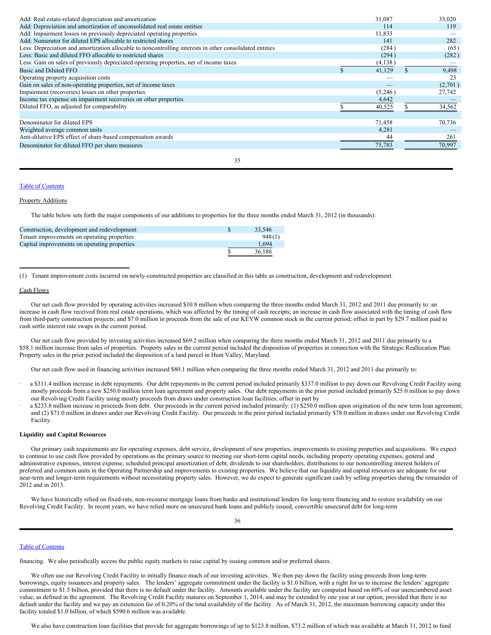| Add: Real estate-related depreciation and amortization                                                   | 31,087  | 33,020  |
|----------------------------------------------------------------------------------------------------------|---------|---------|
| Add: Depreciation and amortization of unconsolidated real estate entities                                | 114     | 119     |
| Add: Impairment losses on previously depreciated operating properties                                    | 11,833  |         |
| Add: Numerator for diluted EPS allocable to restricted shares                                            | 141     | 282     |
| Less: Depreciation and amortization allocable to noncontrolling interests in other consolidated entities | (284)   | (65)    |
| Less: Basic and diluted FFO allocable to restricted shares                                               | (294)   | (282)   |
| Less: Gain on sales of previously depreciated operating properties, net of income taxes                  | (4,138) |         |
| Basic and Diluted FFO                                                                                    | 41,129  | 9,498   |
| Operating property acquisition costs                                                                     |         | 23      |
| Gain on sales of non-operating properties, net of income taxes                                           |         | (2,701) |
| Impairment (recoveries) losses on other properties                                                       | (5,246) | 27,742  |
| Income tax expense on impairment recoveries on other properties                                          | 4,642   |         |
| Diluted FFO, as adjusted for comparability                                                               | 40,525  | 34,562  |
|                                                                                                          |         |         |
| Denominator for diluted EPS                                                                              | 71,458  | 70,736  |
| Weighted average common units                                                                            | 4,281   |         |
| Anti-dilutive EPS effect of share-based compensation awards                                              | 44      | 261     |
| Denominator for diluted FFO per share measures                                                           | 75,783  | 70,997  |
|                                                                                                          |         |         |

35

### Table of [Contents](#page-1-0)

# Property Additions

The table below sets forth the major components of our additions to properties for the three months ended March 31, 2012 (in thousands):

| Construction, development and redevelopment  | 33.546 |
|----------------------------------------------|--------|
| Tenant improvements on operating properties  | 948(1) |
| Capital improvements on operating properties | 1.694  |
|                                              | 36.188 |

(1) Tenant improvement costs incurred on newly-constructed properties are classified in this table as construction, development and redevelopment.

# Cash Flows

Our net cash flow provided by operating activities increased \$10.8 million when comparing the three months ended March 31, 2012 and 2011 due primarily to: an increase in cash flow received from real estate operations, which was affected by the timing of cash receipts; an increase in cash flow associated with the timing of cash flow from third-party construction projects; and \$7.0 million in proceeds from the sale of our KEYW common stock in the current period; offset in part by \$29.7 million paid to cash settle interest rate swaps in the current period.

Our net cash flow provided by investing activities increased \$69.2 million when comparing the three months ended March 31, 2012 and 2011 due primarily to a \$58.1 million increase from sales of properties. Property sales in the current period included the disposition of properties in connection with the Strategic Reallocation Plan. Property sales in the prior period included the disposition of a land parcel in Hunt Valley, Maryland.

Our net cash flow used in financing activities increased \$80.1 million when comparing the three months ended March 31, 2012 and 2011 due primarily to:

- a \$311.4 million increase in debt repayments. Our debt repayments in the current period included primarily \$337.0 million to pay down our Revolving Credit Facility using mostly proceeds from a new \$250.0 million term loan agreement and property sales. Our debt repayments in the prior period included primarily \$25.0 million to pay down our Revolving Credit Facility using mostly proceeds from draws under construction loan facilities; offset in part by
- a \$233.8 million increase in proceeds from debt. Our proceeds in the current period included primarily: (1) \$250.0 million upon origination of the new term loan agreement; and (2) \$71.0 million in draws under our Revolving Credit Facility. Our proceeds in the prior period included primarily \$78.0 million in draws under our Revolving Credit Facility.

### **Liquidity and Capital Resources**

Our primary cash requirements are for operating expenses, debt service, development of new properties, improvements to existing properties and acquisitions. We expect to continue to use cash flow provided by operations as the primary source to meeting our short-term capital needs, including property operating expenses, general and administrative expenses, interest expense, scheduled principal amortization of debt, dividends to our shareholders, distributions to our noncontrolling interest holders of preferred and common units in the Operating Partnership and improvements to existing properties. We believe that our liquidity and capital resources are adequate for our near-term and longer-term requirements without necessitating property sales. However, we do expect to generate significant cash by selling properties during the remainder of 2012 and in 2013.

We have historically relied on fixed-rate, non-recourse mortgage loans from banks and institutional lenders for long-term financing and to restore availability on our Revolving Credit Facility. In recent years, we have relied more on unsecured bank loans and publicly issued, convertible unsecured debt for long-term

# Table of [Contents](#page-1-0)

financing. We also periodically access the public equity markets to raise capital by issuing common and/or preferred shares.

We often use our Revolving Credit Facility to initially finance much of our investing activities. We then pay down the facility using proceeds from long-term borrowings, equity issuances and property sales. The lenders' aggregate commitment under the facility is \$1.0 billion, with a right for us to increase the lenders' aggregate commitment to \$1.5 billion, provided that there is no default under the facility. Amounts available under the facility are computed based on 60% of our unencumbered asset value, as defined in the agreement. The Revolving Credit Facility matures on September 1, 2014, and may be extended by one year at our option, provided that there is no default under the facility and we pay an extension fee of 0.20% of the total availability of the facility. As of March 31, 2012, the maximum borrowing capacity under this facility totaled \$1.0 billion, of which \$590.6 million was available.

We also have construction loan facilities that provide for aggregate borrowings of up to \$123.8 million, \$73.2 million of which was available at March 31, 2012 to fund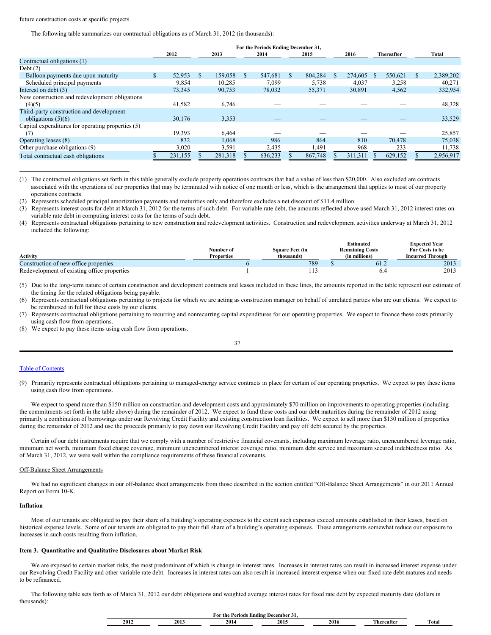#### future construction costs at specific projects.

The following table summarizes our contractual obligations as of March 31, 2012 (in thousands):

|                                                   | For the Periods Ending December 31, |              |         |            |         |    |         |          |         |          |            |   |           |
|---------------------------------------------------|-------------------------------------|--------------|---------|------------|---------|----|---------|----------|---------|----------|------------|---|-----------|
|                                                   | 2012                                |              | 2013    |            | 2014    |    | 2015    |          | 2016    |          | Thereafter |   | Total     |
| Contractual obligations (1)                       |                                     |              |         |            |         |    |         |          |         |          |            |   |           |
| Debt $(2)$                                        |                                     |              |         |            |         |    |         |          |         |          |            |   |           |
| Balloon payments due upon maturity                | 52.953                              |              | 159,058 | <b>S</b>   | 547,681 | -S | 804.284 | <b>S</b> | 274,605 | <b>S</b> | 550,621    | ж | 2,389,202 |
| Scheduled principal payments                      | 9,854                               |              | 10,285  |            | 7.099   |    | 5,738   |          | 4,037   |          | 3,258      |   | 40,271    |
| Interest on debt $(3)$                            | 73,345                              |              | 90,753  |            | 78,032  |    | 55,371  |          | 30,891  |          | 4,562      |   | 332,954   |
| New construction and redevelopment obligations    |                                     |              |         |            |         |    |         |          |         |          |            |   |           |
| (4)(5)                                            | 41,582                              |              | 6,746   |            |         |    |         |          |         |          |            |   | 48,328    |
| Third-party construction and development          |                                     |              |         |            |         |    |         |          |         |          |            |   |           |
| obligations $(5)(6)$                              | 30,176                              |              | 3,353   |            |         |    |         |          |         |          |            |   | 33,529    |
| Capital expenditures for operating properties (5) |                                     |              |         |            |         |    |         |          |         |          |            |   |           |
|                                                   | 19,393                              |              | 6,464   |            |         |    |         |          |         |          |            |   | 25,857    |
| Operating leases (8)                              | 832                                 | 986<br>1,068 |         | 864<br>810 |         |    | 70,478  |          | 75,038  |          |            |   |           |
| Other purchase obligations (9)                    | 3,020                               |              | 3,591   |            | 2,435   |    | 1,491   |          | 968     |          | 233        |   | 11,738    |
| Total contractual cash obligations                | 231,155                             |              | 281,318 |            | 636,233 |    | 867,748 |          | 311,311 |          | 629,152    |   | 2,956,917 |

(1) The contractual obligations set forth in this table generally exclude property operations contracts that had a value of less than \$20,000. Also excluded are contracts associated with the operations of our properties that may be terminated with notice of one month or less, which is the arrangement that applies to most of our property operations contracts.

(2) Represents scheduled principal amortization payments and maturities only and therefore excludes a net discount of \$11.4 million.

(3) Represents interest costs for debt at March 31, 2012 for the terms of such debt. For variable rate debt, the amounts reflected above used March 31, 2012 interest rates on variable rate debt in computing interest costs for the terms of such debt.

(4) Represents contractual obligations pertaining to new construction and redevelopment activities. Construction and redevelopment activities underway at March 31, 2012 included the following:

| Activity                                    | Number of<br><b>Properties</b> | <b>Square Feet (in</b><br>thousands) | <b>Estimated</b><br><b>Remaining Costs</b><br>(in millions) | <b>Expected Year</b><br>For Costs to be<br><b>Incurred Through</b> |
|---------------------------------------------|--------------------------------|--------------------------------------|-------------------------------------------------------------|--------------------------------------------------------------------|
| Construction of new office properties       |                                | 789                                  | 61.2                                                        | 2013                                                               |
| Redevelopment of existing office properties |                                |                                      | 6.4                                                         | 2013                                                               |

(5) Due to the long-term nature of certain construction and development contracts and leases included in these lines, the amounts reported in the table represent our estimate of the timing for the related obligations being payable.

(6) Represents contractual obligations pertaining to projects for which we are acting as construction manager on behalf of unrelated parties who are our clients. We expect to be reimbursed in full for these costs by our clients.

(7) Represents contractual obligations pertaining to recurring and nonrecurring capital expenditures for our operating properties. We expect to finance these costs primarily using cash flow from operations.

(8) We expect to pay these items using cash flow from operations.

37

### Table of [Contents](#page-1-0)

(9) Primarily represents contractual obligations pertaining to managed-energy service contracts in place for certain of our operating properties. We expect to pay these items using cash flow from operations.

We expect to spend more than \$150 million on construction and development costs and approximately \$70 million on improvements to operating properties (including the commitments set forth in the table above) during the remainder of 2012. We expect to fund these costs and our debt maturities during the remainder of 2012 using primarily a combination of borrowings under our Revolving Credit Facility and existing construction loan facilities. We expect to sell more than \$130 million of properties during the remainder of 2012 and use the proceeds primarily to pay down our Revolving Credit Facility and pay off debt secured by the properties.

Certain of our debt instruments require that we comply with a number of restrictive financial covenants, including maximum leverage ratio, unencumbered leverage ratio, minimum net worth, minimum fixed charge coverage, minimum unencumbered interest coverage ratio, minimum debt service and maximum secured indebtedness ratio. As of March 31, 2012, we were well within the compliance requirements of these financial covenants.

#### Off-Balance Sheet Arrangements

We had no significant changes in our off-balance sheet arrangements from those described in the section entitled "Off-Balance Sheet Arrangements" in our 2011 Annual Report on Form 10-K.

#### **Inflation**

Most of our tenants are obligated to pay their share of a building's operating expenses to the extent such expenses exceed amounts established in their leases, based on historical expense levels. Some of our tenants are obligated to pay their full share of a building's operating expenses. These arrangements somewhat reduce our exposure to increases in such costs resulting from inflation.

# **Item 3. Quantitative and Qualitative Disclosures about Market Risk**

We are exposed to certain market risks, the most predominant of which is change in interest rates. Increases in interest rates can result in increased interest expense under our Revolving Credit Facility and other variable rate debt. Increases in interest rates can also result in increased interest expense when our fixed rate debt matures and needs to be refinanced.

The following table sets forth as of March 31, 2012 our debt obligations and weighted average interest rates for fixed rate debt by expected maturity date (dollars in thousands):

<span id="page-22-0"></span>

| .nding<br>Periods<br>- December<br>۰ħ.<br>F٥ |      |        |      |    |  |       |  |
|----------------------------------------------|------|--------|------|----|--|-------|--|
| 2012                                         | 201. | $201-$ | 2015 | 20 |  | Total |  |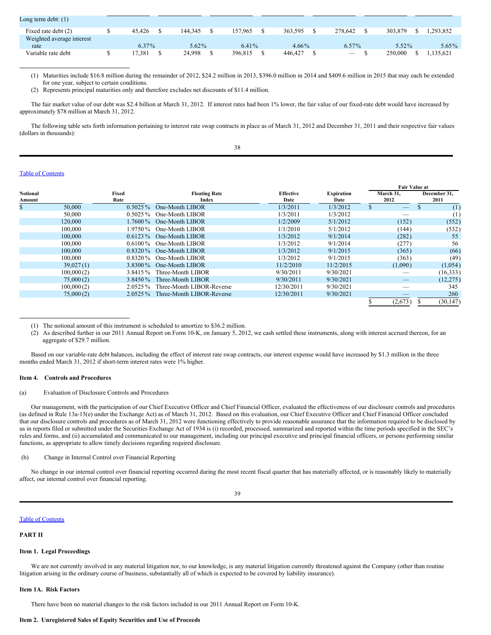| Long term debt: $(1)$     |        |         |          |          |                          |         |          |
|---------------------------|--------|---------|----------|----------|--------------------------|---------|----------|
| Fixed rate debt (2)       | 45.426 | 144.345 | 157.965  | 363.595  | 278,642                  | 303,879 | .293.852 |
| Weighted average interest |        |         |          |          |                          |         |          |
| rate                      | 6.37%  | 5.62%   | $6.41\%$ | $4.66\%$ | $6.57\%$                 | 5.52%   | 5.65%    |
| Variable rate debt        | 7.381  | 24,998  | 396.815  | 446,427  | $\overline{\phantom{m}}$ | 250,000 | .135.621 |

(1) Maturities include \$16.8 million during the remainder of 2012, \$24.2 million in 2013, \$396.0 million in 2014 and \$409.6 million in 2015 that may each be extended

for one year, subject to certain conditions.

(2) Represents principal maturities only and therefore excludes net discounts of \$11.4 million.

The fair market value of our debt was \$2.4 billion at March 31, 2012. If interest rates had been 1% lower, the fair value of our fixed-rate debt would have increased by approximately \$78 million at March 31, 2012.

The following table sets forth information pertaining to interest rate swap contracts in place as of March 31, 2012 and December 31, 2011 and their respective fair values (dollars in thousands):

### Table of [Contents](#page-1-0)

|                           |            |               |                                    |                          |                           |    | <b>Fair Value at</b> |                      |
|---------------------------|------------|---------------|------------------------------------|--------------------------|---------------------------|----|----------------------|----------------------|
| <b>Notional</b><br>Amount |            | Fixed<br>Rate | <b>Floating Rate</b><br>Index      | <b>Effective</b><br>Date | <b>Expiration</b><br>Date |    | March 31,<br>2012    | December 31,<br>2011 |
| \$                        | 50,000     | $0.5025\%$    | One-Month LIBOR                    | 1/3/2011                 | 1/3/2012                  | S. |                      | (1)                  |
|                           | 50,000     | $0.5025\%$    | One-Month LIBOR                    | 1/3/2011                 | 1/3/2012                  |    | _                    | (1)                  |
|                           | 120,000    | 1.7600 %      | One-Month LIBOR                    | 1/2/2009                 | 5/1/2012                  |    | (152)                | (552)                |
|                           | 100,000    |               | 1.9750% One-Month LIBOR            | 1/1/2010                 | 5/1/2012                  |    | (144)                | (532)                |
|                           | 100,000    | $0.6123\%$    | One-Month LIBOR                    | 1/3/2012                 | 9/1/2014                  |    | (282)                | 55                   |
|                           | 100,000    | $0.6100\%$    | One-Month LIBOR                    | 1/3/2012                 | 9/1/2014                  |    | (277)                | 56                   |
|                           | 100,000    |               | $0.8320\%$ One-Month LIBOR         | 1/3/2012                 | 9/1/2015                  |    | (365)                | (66)                 |
|                           | 100,000    |               | $0.8320\%$ One-Month LIBOR         | 1/3/2012                 | 9/1/2015                  |    | (363)                | (49)                 |
|                           | 39,027(1)  | 3.8300 %      | One-Month LIBOR                    | 11/2/2010                | 11/2/2015                 |    | (1,090)              | (1,054)              |
|                           | 100,000(2) | 3.8415 %      | Three-Month LIBOR                  | 9/30/2011                | 9/30/2021                 |    |                      | (16, 333)            |
|                           | 75,000(2)  | $3.8450\%$    | Three-Month LIBOR                  | 9/30/2011                | 9/30/2021                 |    |                      | (12, 275)            |
|                           | 100,000(2) | $2.0525\%$    | Three-Month LIBOR-Reverse          | 12/30/2011               | 9/30/2021                 |    | $-$                  | 345                  |
|                           | 75,000(2)  |               | 2.0525 % Three-Month LIBOR-Reverse | 12/30/2011               | 9/30/2021                 |    |                      | <b>260</b>           |
|                           |            |               |                                    |                          |                           |    | (2,673)              | (30, 147)            |

<sup>(1)</sup> The notional amount of this instrument is scheduled to amortize to \$36.2 million.

(2) As described further in our 2011 Annual Report on Form 10-K, on January 5, 2012, we cash settled these instruments, along with interest accrued thereon, for an aggregate of \$29.7 million.

Based on our variable-rate debt balances, including the effect of interest rate swap contracts, our interest expense would have increased by \$1.3 million in the three months ended March 31, 2012 if short-term interest rates were 1% higher.

# <span id="page-23-0"></span>**Item 4. Controls and Procedures**

# (a) Evaluation of Disclosure Controls and Procedures

Our management, with the participation of our Chief Executive Officer and Chief Financial Officer, evaluated the effectiveness of our disclosure controls and procedures (as defined in Rule 13a-15(e) under the Exchange Act) as of March 31, 2012. Based on this evaluation, our Chief Executive Officer and Chief Financial Officer concluded that our disclosure controls and procedures as of March 31, 2012 were functioning effectively to provide reasonable assurance that the information required to be disclosed by us in reports filed or submitted under the Securities Exchange Act of 1934 is (i) recorded, processed, summarized and reported within the time periods specified in the SEC's rules and forms, and (ii) accumulated and communicated to our management, including our principal executive and principal financial officers, or persons performing similar functions, as appropriate to allow timely decisions regarding required disclosure.

# (b) Change in Internal Control over Financial Reporting

No change in our internal control over financial reporting occurred during the most recent fiscal quarter that has materially affected, or is reasonably likely to materially affect, our internal control over financial reporting.

## <span id="page-23-4"></span>39

# Table of [Contents](#page-1-0)

### <span id="page-23-1"></span>**PART II**

#### <span id="page-23-2"></span>**Item 1. Legal Proceedings**

We are not currently involved in any material litigation nor, to our knowledge, is any material litigation currently threatened against the Company (other than routine litigation arising in the ordinary course of business, substantially all of which is expected to be covered by liability insurance).

### **Item 1A. Risk Factors**

<span id="page-23-3"></span>There have been no material changes to the risk factors included in our 2011 Annual Report on Form 10-K.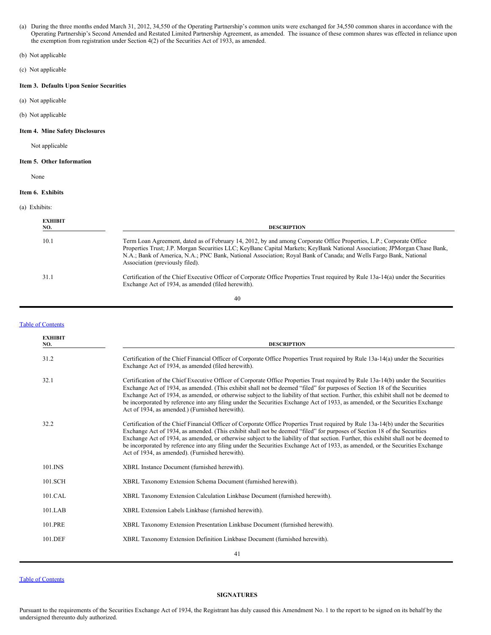- (a) During the three months ended March 31, 2012, 34,550 of the Operating Partnership's common units were exchanged for 34,550 common shares in accordance with the Operating Partnership's Second Amended and Restated Limited Partnership Agreement, as amended. The issuance of these common shares was effected in reliance upon the exemption from registration under Section 4(2) of the Securities Act of 1933, as amended.
- (b) Not applicable
- (c) Not applicable

# <span id="page-24-0"></span>**Item 3. Defaults Upon Senior Securities**

- (a) Not applicable
- (b) Not applicable

## **Item 4. Mine Safety Disclosures**

<span id="page-24-2"></span><span id="page-24-1"></span>Not applicable

## **Item 5. Other Information**

None

### **Item 6. Exhibits**

## (a) Exhibits:

<span id="page-24-3"></span>

| <b>EXHIBIT</b><br>NO. | <b>DESCRIPTION</b>                                                                                                                                                                                                                                                                                                                                                                                        |
|-----------------------|-----------------------------------------------------------------------------------------------------------------------------------------------------------------------------------------------------------------------------------------------------------------------------------------------------------------------------------------------------------------------------------------------------------|
| 10.1                  | Term Loan Agreement, dated as of February 14, 2012, by and among Corporate Office Properties, L.P.; Corporate Office<br>Properties Trust; J.P. Morgan Securities LLC; KeyBanc Capital Markets; KeyBank National Association; JPMorgan Chase Bank,<br>N.A.; Bank of America, N.A.; PNC Bank, National Association; Royal Bank of Canada; and Wells Fargo Bank, National<br>Association (previously filed). |
| 31.1                  | Certification of the Chief Executive Officer of Corporate Office Properties Trust required by Rule 13a-14(a) under the Securities<br>Exchange Act of 1934, as amended (filed herewith).                                                                                                                                                                                                                   |

40

## Table of [Contents](#page-1-0)

| <b>EXHIBIT</b><br>NO. | <b>DESCRIPTION</b>                                                                                                                                                                                                                                                                                                                                                                                                                                                                                                                                                                          |
|-----------------------|---------------------------------------------------------------------------------------------------------------------------------------------------------------------------------------------------------------------------------------------------------------------------------------------------------------------------------------------------------------------------------------------------------------------------------------------------------------------------------------------------------------------------------------------------------------------------------------------|
| 31.2                  | Certification of the Chief Financial Officer of Corporate Office Properties Trust required by Rule 13a-14(a) under the Securities<br>Exchange Act of 1934, as amended (filed herewith).                                                                                                                                                                                                                                                                                                                                                                                                     |
| 32.1                  | Certification of the Chief Executive Officer of Corporate Office Properties Trust required by Rule 13a-14(b) under the Securities<br>Exchange Act of 1934, as amended. (This exhibit shall not be deemed "filed" for purposes of Section 18 of the Securities<br>Exchange Act of 1934, as amended, or otherwise subject to the liability of that section. Further, this exhibit shall not be deemed to<br>be incorporated by reference into any filing under the Securities Exchange Act of 1933, as amended, or the Securities Exchange<br>Act of 1934, as amended.) (Furnished herewith). |
| 32.2                  | Certification of the Chief Financial Officer of Corporate Office Properties Trust required by Rule 13a-14(b) under the Securities<br>Exchange Act of 1934, as amended. (This exhibit shall not be deemed "filed" for purposes of Section 18 of the Securities<br>Exchange Act of 1934, as amended, or otherwise subject to the liability of that section. Further, this exhibit shall not be deemed to<br>be incorporated by reference into any filing under the Securities Exchange Act of 1933, as amended, or the Securities Exchange<br>Act of 1934, as amended). (Furnished herewith). |
| 101.INS               | XBRL Instance Document (furnished herewith).                                                                                                                                                                                                                                                                                                                                                                                                                                                                                                                                                |
| 101.SCH               | XBRL Taxonomy Extension Schema Document (furnished herewith).                                                                                                                                                                                                                                                                                                                                                                                                                                                                                                                               |
| 101.CAL               | XBRL Taxonomy Extension Calculation Linkbase Document (furnished herewith).                                                                                                                                                                                                                                                                                                                                                                                                                                                                                                                 |
| 101.LAB               | XBRL Extension Labels Linkbase (furnished herewith).                                                                                                                                                                                                                                                                                                                                                                                                                                                                                                                                        |
| 101.PRE               | XBRL Taxonomy Extension Presentation Linkbase Document (furnished herewith).                                                                                                                                                                                                                                                                                                                                                                                                                                                                                                                |
| 101.DEF               | XBRL Taxonomy Extension Definition Linkbase Document (furnished herewith).                                                                                                                                                                                                                                                                                                                                                                                                                                                                                                                  |
|                       |                                                                                                                                                                                                                                                                                                                                                                                                                                                                                                                                                                                             |

# Table of [Contents](#page-1-0)

# <span id="page-24-4"></span>**SIGNATURES**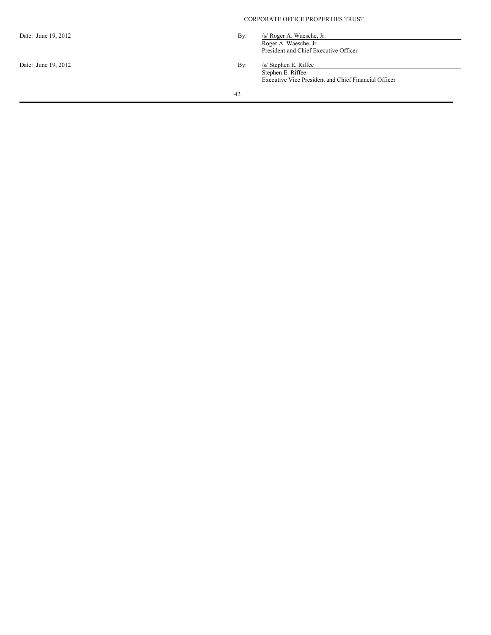| Date: June 19, 2012 | By: | /s/ Roger A. Waesche, Jr.<br>Roger A. Waesche, Jr.<br>President and Chief Executive Officer        |
|---------------------|-----|----------------------------------------------------------------------------------------------------|
| Date: June 19, 2012 | By: | /s/ Stephen E. Riffee<br>Stephen E. Riffee<br>Executive Vice President and Chief Financial Officer |
|                     | 42  |                                                                                                    |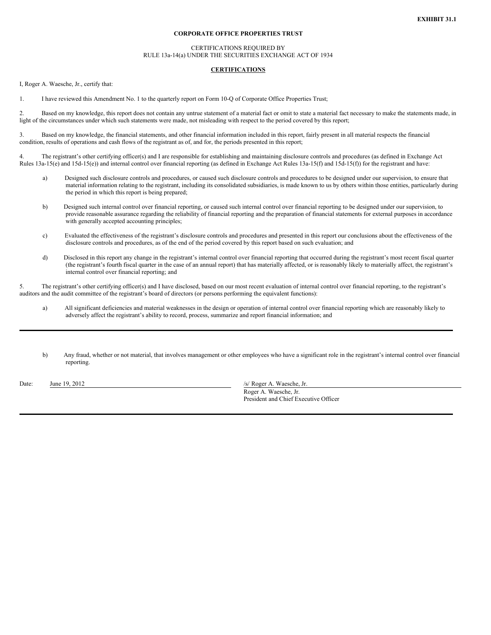# CERTIFICATIONS REQUIRED BY RULE 13a-14(a) UNDER THE SECURITIES EXCHANGE ACT OF 1934

### **CERTIFICATIONS**

I, Roger A. Waesche, Jr., certify that:

1. I have reviewed this Amendment No. 1 to the quarterly report on Form 10-Q of Corporate Office Properties Trust;

2. Based on my knowledge, this report does not contain any untrue statement of a material fact or omit to state a material fact necessary to make the statements made, in light of the circumstances under which such statements were made, not misleading with respect to the period covered by this report;

3. Based on my knowledge, the financial statements, and other financial information included in this report, fairly present in all material respects the financial condition, results of operations and cash flows of the registrant as of, and for, the periods presented in this report;

4. The registrant's other certifying officer(s) and I are responsible for establishing and maintaining disclosure controls and procedures (as defined in Exchange Act Rules 13a-15(e) and 15d-15(e)) and internal control over financial reporting (as defined in Exchange Act Rules 13a-15(f) and 15d-15(f)) for the registrant and have:

- a) Designed such disclosure controls and procedures, or caused such disclosure controls and procedures to be designed under our supervision, to ensure that material information relating to the registrant, including its consolidated subsidiaries, is made known to us by others within those entities, particularly during the period in which this report is being prepared;
- b) Designed such internal control over financial reporting, or caused such internal control over financial reporting to be designed under our supervision, to provide reasonable assurance regarding the reliability of financial reporting and the preparation of financial statements for external purposes in accordance with generally accepted accounting principles;
- c) Evaluated the effectiveness of the registrant's disclosure controls and procedures and presented in this report our conclusions about the effectiveness of the disclosure controls and procedures, as of the end of the period covered by this report based on such evaluation; and
- d) Disclosed in this report any change in the registrant's internal control over financial reporting that occurred during the registrant's most recent fiscal quarter (the registrant's fourth fiscal quarter in the case of an annual report) that has materially affected, or is reasonably likely to materially affect, the registrant's internal control over financial reporting; and

5. The registrant's other certifying officer(s) and I have disclosed, based on our most recent evaluation of internal control over financial reporting, to the registrant's auditors and the audit committee of the registrant's board of directors (or persons performing the equivalent functions):

- a) All significant deficiencies and material weaknesses in the design or operation of internal control over financial reporting which are reasonably likely to adversely affect the registrant's ability to record, process, summarize and report financial information; and
- b) Any fraud, whether or not material, that involves management or other employees who have a significant role in the registrant's internal control over financial reporting.

Date: June 19, 2012 /s/ Roger A. Waesche, Jr.

Roger A. Waesche, Jr. President and Chief Executive Officer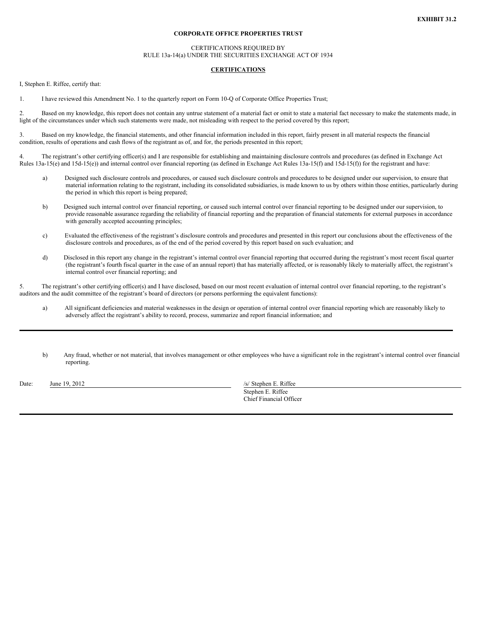# CERTIFICATIONS REQUIRED BY RULE 13a-14(a) UNDER THE SECURITIES EXCHANGE ACT OF 1934

### **CERTIFICATIONS**

I, Stephen E. Riffee, certify that:

1. I have reviewed this Amendment No. 1 to the quarterly report on Form 10-Q of Corporate Office Properties Trust;

2. Based on my knowledge, this report does not contain any untrue statement of a material fact or omit to state a material fact necessary to make the statements made, in light of the circumstances under which such statements were made, not misleading with respect to the period covered by this report;

3. Based on my knowledge, the financial statements, and other financial information included in this report, fairly present in all material respects the financial condition, results of operations and cash flows of the registrant as of, and for, the periods presented in this report;

4. The registrant's other certifying officer(s) and I are responsible for establishing and maintaining disclosure controls and procedures (as defined in Exchange Act Rules 13a-15(e) and 15d-15(e)) and internal control over financial reporting (as defined in Exchange Act Rules 13a-15(f) and 15d-15(f)) for the registrant and have:

- a) Designed such disclosure controls and procedures, or caused such disclosure controls and procedures to be designed under our supervision, to ensure that material information relating to the registrant, including its consolidated subsidiaries, is made known to us by others within those entities, particularly during the period in which this report is being prepared;
- b) Designed such internal control over financial reporting, or caused such internal control over financial reporting to be designed under our supervision, to provide reasonable assurance regarding the reliability of financial reporting and the preparation of financial statements for external purposes in accordance with generally accepted accounting principles;
- c) Evaluated the effectiveness of the registrant's disclosure controls and procedures and presented in this report our conclusions about the effectiveness of the disclosure controls and procedures, as of the end of the period covered by this report based on such evaluation; and
- d) Disclosed in this report any change in the registrant's internal control over financial reporting that occurred during the registrant's most recent fiscal quarter (the registrant's fourth fiscal quarter in the case of an annual report) that has materially affected, or is reasonably likely to materially affect, the registrant's internal control over financial reporting; and

5. The registrant's other certifying officer(s) and I have disclosed, based on our most recent evaluation of internal control over financial reporting, to the registrant's auditors and the audit committee of the registrant's board of directors (or persons performing the equivalent functions):

- a) All significant deficiencies and material weaknesses in the design or operation of internal control over financial reporting which are reasonably likely to adversely affect the registrant's ability to record, process, summarize and report financial information; and
- b) Any fraud, whether or not material, that involves management or other employees who have a significant role in the registrant's internal control over financial reporting.

Date: June 19, 2012 /s/ Stephen E. Riffee

Stephen E. Riffee Chief Financial Officer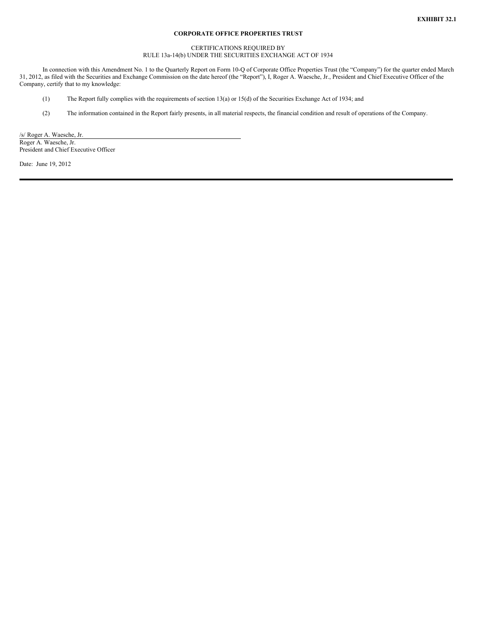# CERTIFICATIONS REQUIRED BY RULE 13a-14(b) UNDER THE SECURITIES EXCHANGE ACT OF 1934

In connection with this Amendment No. 1 to the Quarterly Report on Form 10-Q of Corporate Office Properties Trust (the "Company") for the quarter ended March 31, 2012, as filed with the Securities and Exchange Commission on the date hereof (the "Report"), I, Roger A. Waesche, Jr., President and Chief Executive Officer of the Company, certify that to my knowledge:

- (1) The Report fully complies with the requirements of section 13(a) or 15(d) of the Securities Exchange Act of 1934; and
- (2) The information contained in the Report fairly presents, in all material respects, the financial condition and result of operations of the Company.

/s/ Roger A. Waesche, Jr. Roger A. Waesche, Jr. President and Chief Executive Officer

Date: June 19, 2012